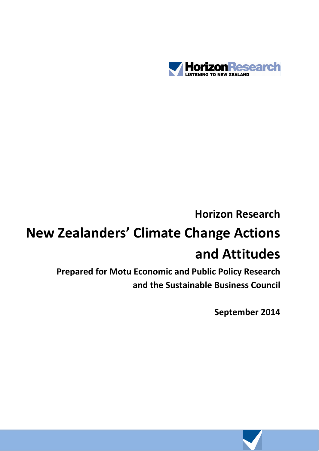

## **Horizon Research**

# **New Zealanders' Climate Change Actions and Attitudes**

**Prepared for Motu Economic and Public Policy Research and the Sustainable Business Council**

**September 2014**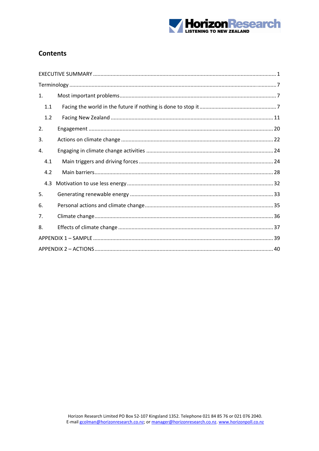

## **Contents**

| $\mathbf{1}$ . |  |
|----------------|--|
| 1.1            |  |
| 1.2            |  |
| 2.             |  |
| 3.             |  |
| 4.             |  |
| 4.1            |  |
| 4.2            |  |
| 4.3            |  |
| 5.             |  |
| 6.             |  |
| 7.             |  |
| 8.             |  |
|                |  |
|                |  |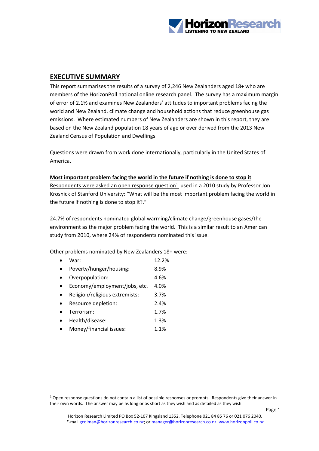

## **EXECUTIVE SUMMARY**

This report summarises the results of a survey of 2,246 New Zealanders aged 18+ who are members of the HorizonPoll national online research panel. The survey has a maximum margin of error of 2.1% and examines New Zealanders' attitudes to important problems facing the world and New Zealand, climate change and household actions that reduce greenhouse gas emissions. Where estimated numbers of New Zealanders are shown in this report, they are based on the New Zealand population 18 years of age or over derived from the 2013 New Zealand Census of Population and Dwellings.

Questions were drawn from work done internationally, particularly in the United States of America.

#### **Most important problem facing the world in the future if nothing is done to stop it**

Respondents were asked an open response question $1$  used in a 2010 study by Professor Jon Krosnick of Stanford University: "What will be the most important problem facing the world in the future if nothing is done to stop it?."

24.7% of respondents nominated global warming/climate change/greenhouse gases/the environment as the major problem facing the world. This is a similar result to an American study from 2010, where 24% of respondents nominated this issue.

Other problems nominated by New Zealanders 18+ were:

- War: 12.2%
- Poverty/hunger/housing: 8.9%
- Overpopulation: 4.6%
- Economy/employment/jobs, etc. 4.0%
- Religion/religious extremists: 3.7%
- Resource depletion: 2.4%
- Terrorism:  $1.7\%$
- Health/disease: 1.3%
- Money/financial issues: 1.1%

 $1$  Open response questions do not contain a list of possible responses or prompts. Respondents give their answer in their own words. The answer may be as long or as short as they wish and as detailed as they wish.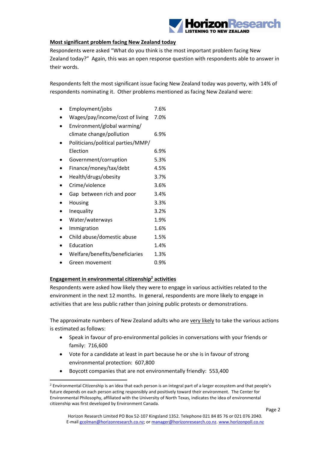

#### **Most significant problem facing New Zealand today**

Respondents were asked "What do you think is the most important problem facing New Zealand today?" Again, this was an open response question with respondents able to answer in their words.

Respondents felt the most significant issue facing New Zealand today was poverty, with 14% of respondents nominating it. Other problems mentioned as facing New Zealand were:

|  | Employment/jobs |  | 7.6% |
|--|-----------------|--|------|
|  |                 |  |      |

- Wages/pay/income/cost of living 7.0%
- Environment/global warming/ climate change/pollution 6.9% Politicians/political parties/MMP/ Election 6.9% Government/corruption 5.3% Finance/money/tax/debt 4.5% Health/drugs/obesity 3.7% Crime/violence 3.6% Gap between rich and poor 3.4% Housing 3.3% Inequality 3.2% Water/waterways 1.9% Immigration 1.6% Child abuse/domestic abuse 1.5% Education 1.4% Welfare/benefits/beneficiaries 1.3% Green movement 0.9%

#### **Engagement in environmental citizenship2 activities**

Respondents were asked how likely they were to engage in various activities related to the environment in the next 12 months. In general, respondents are more likely to engage in activities that are less public rather than joining public protests or demonstrations.

The approximate numbers of New Zealand adults who are very likely to take the various actions is estimated as follows:

- Speak in favour of pro‐environmental policies in conversations with your friends or family: 716,600
- Vote for a candidate at least in part because he or she is in favour of strong environmental protection: 607,800
- Boycott companies that are not environmentally friendly: 553,400

 <sup>2</sup> Environmental Citizenship is an idea that each person is an integral part of a larger ecosystem and that people's future depends on each person acting responsibly and positively toward their environment. The Center for Environmental Philosophy, affiliated with the University of North Texas, indicates the idea of environmental citizenship was first developed by Environment Canada.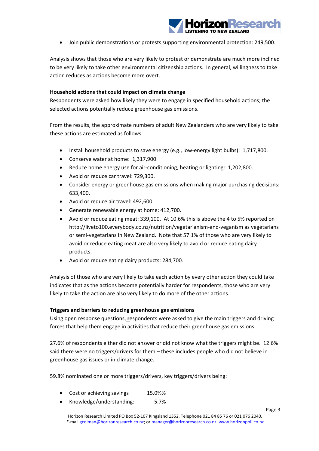

Join public demonstrations or protests supporting environmental protection: 249,500.

Analysis shows that those who are very likely to protest or demonstrate are much more inclined to be very likely to take other environmental citizenship actions. In general, willingness to take action reduces as actions become more overt.

#### **Household actions that could impact on climate change**

Respondents were asked how likely they were to engage in specified household actions; the selected actions potentially reduce greenhouse gas emissions.

From the results, the approximate numbers of adult New Zealanders who are very likely to take these actions are estimated as follows:

- Install household products to save energy (e.g., low-energy light bulbs): 1,717,800.
- Conserve water at home: 1,317,900.
- Reduce home energy use for air-conditioning, heating or lighting: 1,202,800.
- Avoid or reduce car travel: 729,300.
- Consider energy or greenhouse gas emissions when making major purchasing decisions: 633,400.
- Avoid or reduce air travel: 492,600.
- Generate renewable energy at home: 412,700.
- Avoid or reduce eating meat: 339,100. At 10.6% this is above the 4 to 5% reported on http://liveto100.everybody.co.nz/nutrition/vegetarianism‐and‐veganism as vegetarians or semi‐vegetarians in New Zealand. Note that 57.1% of those who are very likely to avoid or reduce eating meat are also very likely to avoid or reduce eating dairy products.
- Avoid or reduce eating dairy products: 284,700.

Analysis of those who are very likely to take each action by every other action they could take indicates that as the actions become potentially harder for respondents, those who are very likely to take the action are also very likely to do more of the other actions.

#### **Triggers and barriers to reducing greenhouse gas emissions**

Using open response questions, **r**espondents were asked to give the main triggers and driving forces that help them engage in activities that reduce their greenhouse gas emissions.

27.6% of respondents either did not answer or did not know what the triggers might be. 12.6% said there were no triggers/drivers for them – these includes people who did not believe in greenhouse gas issues or in climate change.

59.8% nominated one or more triggers/drivers, key triggers/drivers being:

- Cost or achieving savings 15.0%%
- Knowledge/understanding: 5.7%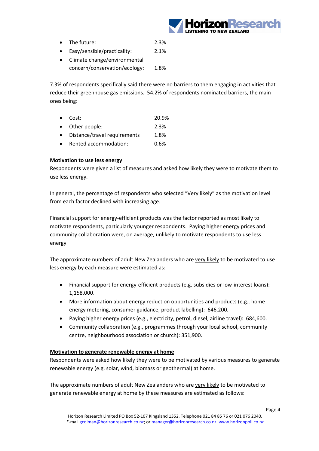

- The future: 2.3%
- Easy/sensible/practicality: 2.1%
- Climate change/environmental concern/conservation/ecology: 1.8%

7.3% of respondents specifically said there were no barriers to them engaging in activities that reduce their greenhouse gas emissions. 54.2% of respondents nominated barriers, the main ones being:

- Cost: 20.9%
- Other people: 2.3%
- Distance/travel requirements 1.8%
- Rented accommodation: 0.6%

#### **Motivation to use less energy**

Respondents were given a list of measures and asked how likely they were to motivate them to use less energy.

In general, the percentage of respondents who selected "Very likely" as the motivation level from each factor declined with increasing age.

Financial support for energy‐efficient products was the factor reported as most likely to motivate respondents, particularly younger respondents. Paying higher energy prices and community collaboration were, on average, unlikely to motivate respondents to use less energy.

The approximate numbers of adult New Zealanders who are very likely to be motivated to use less energy by each measure were estimated as:

- Financial support for energy‐efficient products (e.g. subsidies or low‐interest loans): 1,158,000.
- More information about energy reduction opportunities and products (e.g., home energy metering, consumer guidance, product labelling): 646,200.
- Paying higher energy prices (e.g., electricity, petrol, diesel, airline travel): 684,600.
- Community collaboration (e.g., programmes through your local school, community centre, neighbourhood association or church): 351,900.

#### **Motivation to generate renewable energy at home**

Respondents were asked how likely they were to be motivated by various measures to generate renewable energy (e.g. solar, wind, biomass or geothermal) at home.

The approximate numbers of adult New Zealanders who are very likely to be motivated to generate renewable energy at home by these measures are estimated as follows: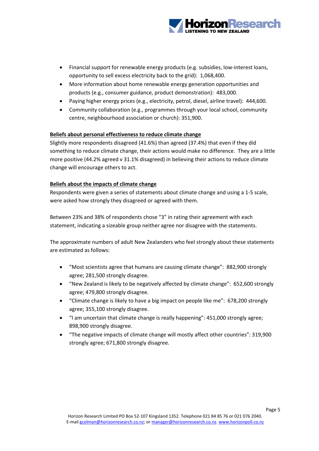

- Financial support for renewable energy products (e.g. subsidies, low‐interest loans, opportunity to sell excess electricity back to the grid): 1,068,400.
- More information about home renewable energy generation opportunities and products (e.g., consumer guidance, product demonstration): 483,000.
- Paying higher energy prices (e.g., electricity, petrol, diesel, airline travel): 444,600.
- Community collaboration (e.g., programmes through your local school, community centre, neighbourhood association or church): 351,900.

#### **Beliefs about personal effectiveness to reduce climate change**

Slightly more respondents disagreed (41.6%) than agreed (37.4%) that even if they did something to reduce climate change, their actions would make no difference. They are a little more positive (44.2% agreed v 31.1% disagreed) in believing their actions to reduce climate change will encourage others to act.

#### **Beliefs about the impacts of climate change**

Respondents were given a series of statements about climate change and using a 1‐5 scale, were asked how strongly they disagreed or agreed with them.

Between 23% and 38% of respondents chose "3" in rating their agreement with each statement, indicating a sizeable group neither agree nor disagree with the statements.

The approximate numbers of adult New Zealanders who feel strongly about these statements are estimated as follows:

- "Most scientists agree that humans are causing climate change": 882,900 strongly agree; 281,500 strongly disagree.
- "New Zealand is likely to be negatively affected by climate change": 652,600 strongly agree; 479,800 strongly disagree.
- "Climate change is likely to have a big impact on people like me": 678,200 strongly agree; 355,100 strongly disagree.
- "I am uncertain that climate change is really happening": 451,000 strongly agree; 898,900 strongly disagree.
- "The negative impacts of climate change will mostly affect other countries": 319,900 strongly agree; 671,800 strongly disagree.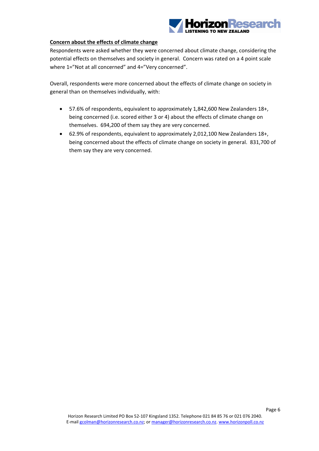

#### **Concern about the effects of climate change**

Respondents were asked whether they were concerned about climate change, considering the potential effects on themselves and society in general. Concern was rated on a 4 point scale where 1="Not at all concerned" and 4="Very concerned".

Overall, respondents were more concerned about the effects of climate change on society in general than on themselves individually, with:

- 57.6% of respondents, equivalent to approximately 1,842,600 New Zealanders 18+, being concerned (i.e. scored either 3 or 4) about the effects of climate change on themselves. 694,200 of them say they are very concerned.
- 62.9% of respondents, equivalent to approximately 2,012,100 New Zealanders 18+, being concerned about the effects of climate change on society in general. 831,700 of them say they are very concerned.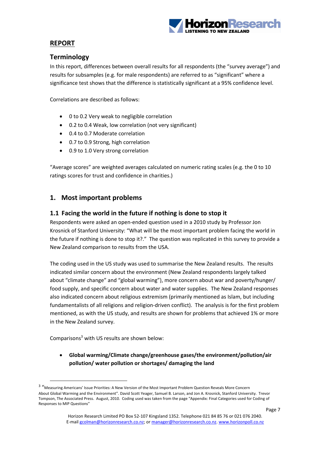

## **REPORT**

## **Terminology**

In this report, differences between overall results for all respondents (the "survey average") and results for subsamples (e.g. for male respondents) are referred to as "significant" where a significance test shows that the difference is statistically significant at a 95% confidence level.

Correlations are described as follows:

- 0 to 0.2 Very weak to negligible correlation
- 0.2 to 0.4 Weak, low correlation (not very significant)
- 0.4 to 0.7 Moderate correlation
- 0.7 to 0.9 Strong, high correlation
- 0.9 to 1.0 Very strong correlation

"Average scores" are weighted averages calculated on numeric rating scales (e.g. the 0 to 10 ratings scores for trust and confidence in charities.)

## **1. Most important problems**

#### **1.1 Facing the world in the future if nothing is done to stop it**

Respondents were asked an open‐ended question used in a 2010 study by Professor Jon Krosnick of Stanford University: "What will be the most important problem facing the world in the future if nothing is done to stop it?." The question was replicated in this survey to provide a New Zealand comparison to results from the USA.

The coding used in the US study was used to summarise the New Zealand results. The results indicated similar concern about the environment (New Zealand respondents largely talked about "climate change" and "global warming"), more concern about war and poverty/hunger/ food supply, and specific concern about water and water supplies. The New Zealand responses also indicated concern about religious extremism (primarily mentioned as Islam, but including fundamentalists of all religions and religion-driven conflict). The analysis is for the first problem mentioned, as with the US study, and results are shown for problems that achieved 1% or more in the New Zealand survey.

Comparisons3 with US results are shown below:

 **Global warming/Climate change/greenhouse gases/the environment/pollution/air pollution/ water pollution or shortages/ damaging the land**

<sup>3</sup> "Measuring Americans' Issue Priorities: <sup>A</sup> New Version of the Most Important Problem Question Reveals More Concern About Global Warming and the Environment". David Scott Yeager, Samuel B. Larson, and Jon A. Krosnick, Stanford University. Trevor Tompson, The Associated Press. August, 2010. Coding used was taken from the page "Appendix: Final Categories used for Coding of Responses to MIP Questions"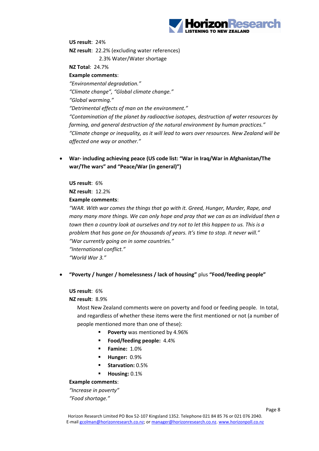

**US result**: 24% **NZ result**: 22.2% (excluding water references) 2.3% Water/Water shortage **NZ Total**: 24.7% **Example comments**: *"Environmental degradation." "Climate change", "Global climate change."*

*"Global warming."*

*"Detrimental effects of man on the environment."*

*"Contamination of the planet by radioactive isotopes, destruction of water resources by farming, and general destruction of the natural environment by human practices." "Climate change or inequality, as it will lead to wars over resources. New Zealand will be affected one way or another."*

 **War‐ including achieving peace (US code list: "War in Iraq/War in Afghanistan/The war/The wars" and "Peace/War (in general)")**

**US result**: 6% **NZ result**: 12.2% **Example comments**:

*"WAR. With war comes the things that go with it. Greed, Hunger, Murder, Rape, and many many more things. We can only hope and pray that we can as an individual then a town then a country look at ourselves and try not to let this happen to us. This is a problem that has gone on for thousands of years. It's time to stop. It never will." "War currently going on in some countries." "International conflict." "World War 3."*

#### **"Poverty / hunger / homelessness / lack of housing"** plus **"Food/feeding people"**

**US result**: 6%

#### **NZ result**: 8.9%

Most New Zealand comments were on poverty and food or feeding people. In total, and regardless of whether these items were the first mentioned or not (a number of people mentioned more than one of these):

- **Poverty** was mentioned by 4.96%
- **Food/feeding people:**  $4.4\%$
- **Famine:** 1.0%
- **Hunger:** 0.9%
- **Starvation:** 0.5%
- **Housing:** 0.1%

#### **Example comments**:

*"Increase in poverty" "Food shortage."*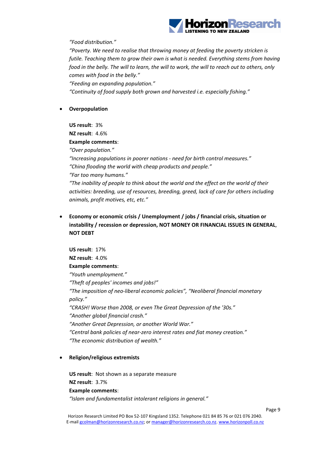

*"Food distribution."*

*"Poverty. We need to realise that throwing money at feeding the poverty stricken is futile. Teaching them to grow their own is what is needed. Everything stems from having* food in the belly. The will to learn, the will to work, the will to reach out to others, only *comes with food in the belly."*

*"Feeding an expanding population."*

*"Continuity of food supply both grown and harvested i.e. especially fishing."*

**Overpopulation**

**US result**: 3% **NZ result**: 4.6% **Example comments**: *"Over population." "Increasing populations in poorer nations ‐ need for birth control measures." "China flooding the world with cheap products and people." "Far too many humans." "The inability of people to think about the world and the effect on the world of their activities: breeding, use of resources, breeding, greed, lack of care for others including animals, profit motives, etc, etc."*

 **Economy or economic crisis / Unemployment / jobs / financial crisis, situation or instability / recession or depression, NOT MONEY OR FINANCIAL ISSUES IN GENERAL**, **NOT DEBT**

**US result**: 17% **NZ result**: 4.0% **Example comments**: *"Youth unemployment." "Theft of peoples' incomes and jobs!" "The imposition of neo‐liberal economic policies", "Neoliberal financial monetary policy." "CRASH! Worse than 2008, or even The Great Depression of the '30s." "Another global financial crash." "Another Great Depression, or another World War." "Central bank policies of near‐zero interest rates and fiat money creation." "The economic distribution of wealth."*

#### **Religion/religious extremists**

**US result**: Not shown as a separate measure **NZ result**: 3.7% **Example comments**: *"Islam and fundamentalist intolerant religions in general."*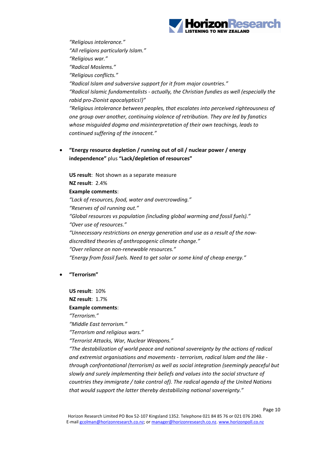

*"Religious intolerance." "All religions particularly Islam." "Religious war." "Radical Moslems." "Religious conflicts." "Radical Islam and subversive support for it from major countries." "Radical Islamic fundamentalists ‐ actually, the Christian fundies as well (especially the rabid pro‐Zionist apocalyptics!)" "Religious intolerance between peoples, that escalates into perceived righteousness of one group over another, continuing violence of retribution. They are led by fanatics whose misguided dogma and misinterpretation of their own teachings, leads to continued suffering of the innocent."*

 **"Energy resource depletion / running out of oil / nuclear power / energy independence"** plus **"Lack/depletion of resources"**

**US result**: Not shown as a separate measure **NZ result**: 2.4% **Example comments**: *"Lack of resources, food, water and overcrowding." "Reserves of oil running out." "Global resources vs population (including global warming and fossil fuels)." "Over use of resources." "Unnecessary restrictions on energy generation and use as a result of the now‐ discredited theories of anthropogenic climate change." "Over reliance on non‐renewable resources." "Energy from fossil fuels. Need to get solar or some kind of cheap energy."*

**"Terrorism"** 

**US result**: 10% **NZ result**: 1.7%

**Example comments**: *"Terrorism." "Middle East terrorism." "Terrorism and religious wars." "Terrorist Attacks, War, Nuclear Weapons." "The destabilization of world peace and national sovereignty by the actions of radical and extremist organisations and movements ‐ terrorism, radical Islam and the like ‐ through confrontational (terrorism) as well as social integration (seemingly peaceful but slowly and surely implementing their beliefs and values into the social structure of countries they immigrate / take control of). The radical agenda of the United Nations that would support the latter thereby destabilizing national sovereignty."*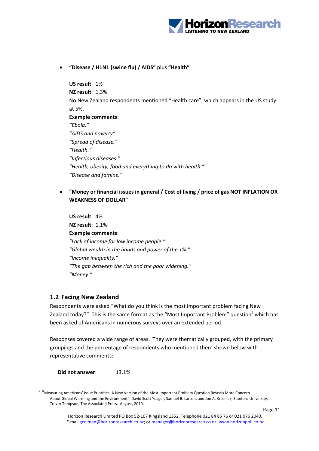

**"Disease / H1N1 (swine flu) / AIDS"** plus **"Health"**

**US result**: 1% **NZ result**: 1.3% No New Zealand respondents mentioned "Health care", which appears in the US study at 5%. **Example comments**:

*"Ebola." "AIDS and poverty" "Spread of disease." "Health." "Infectious diseases." "Health, obesity, food and everything to do with health." "Disease and famine."*

 **"Money or financial issues in general / Cost of living / price of gas NOT INFLATION OR WEAKNESS OF DOLLAR"** 

**US result**: 4% **NZ result**: 1.1% **Example comments**: *"Lack of income for low income people." "Global wealth in the hands and power of the 1%." "Income inequality." "The gap between the rich and the poor widening." "Money."*

#### **1.2 Facing New Zealand**

Respondents were asked "What do you think is the most important problem facing New Zealand today?" This is the same format as the "Most Important Problem" question<sup>4</sup> which has been asked of Americans in numerous surveys over an extended period.

Responses covered a wide range of areas. They were thematically grouped, with the primary groupings and the percentage of respondents who mentioned them shown below with representative comments:

**Did not answer**: 13.1%

<sup>4</sup> "Measuring Americans' Issue Priorities: <sup>A</sup> New Version of the Most Important Problem Question Reveals More Concern About Global Warming and the Environment". David Scott Yeager, Samuel B. Larson, and Jon A. Krosnick, Stanford University. Trevor Tompson, The Associated Press. August, 2010.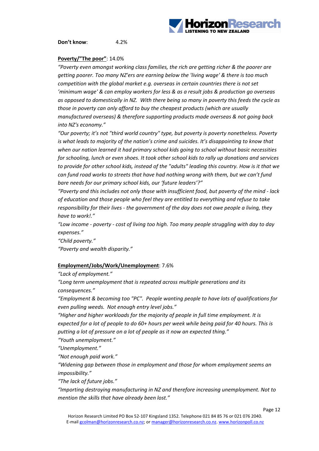

**Don't know**: 4.2%

#### **Poverty/"The poor"**: 14.0%

*"Poverty even amongst working class families, the rich are getting richer & the poorer are getting poorer. Too many NZ'ers are earning below the 'living wage' & there is too much competition with the global market e.g. overseas in certain countries there is not set 'minimum wage' & can employ workers for less & as a result jobs & production go overseas* as opposed to domestically in NZ. With there being so many in poverty this feeds the cycle as *those in poverty can only afford to buy the cheapest products (which are usually manufactured overseas) & therefore supporting products made overseas & not going back into NZ's economy."*

*"Our poverty; it's not "third world country" type, but poverty is poverty nonetheless. Poverty is what leads to majority of the nation's crime and suicides. It's disappointing to know that when our nation learned it had primary school kids going to school without basic necessities for schooling, lunch or even shoes. It took other school kids to rally up donations and services to provide for other school kids, instead of the "adults" leading this country. How is it that we can fund road works to streets that have had nothing wrong with them, but we can't fund bare needs for our primary school kids, our 'future leaders'?"*

*"Poverty and this includes not only those with insufficient food, but poverty of the mind ‐ lack of education and those people who feel they are entitled to everything and refuse to take responsibility for their lives ‐ the government of the day does not owe people a living, they have to work!."*

*"Low income ‐ poverty ‐ cost of living too high. Too many people struggling with day to day expenses."*

*"Child poverty." "Poverty and wealth disparity."*

#### **Employment/Jobs/Work/Unemployment**: 7.6%

*"Lack of employment."*

*"Long term unemployment that is repeated across multiple generations and its consequences."*

*"Employment & becoming too "PC". People wanting people to have lots of qualifications for even pulling weeds. Not enough entry level jobs."*

*"Higher and higher workloads for the majority of people in full time employment. It is* expected for a lot of people to do 60+ hours per week while being paid for 40 hours. This is *putting a lot of pressure on a lot of people as it now an expected thing."*

*"Youth unemployment."*

*"Unemployment."*

*"Not enough paid work."*

*"Widening gap between those in employment and those for whom employment seems an impossibility."*

*"The lack of future jobs."*

*"Importing destroying manufacturing in NZ and therefore increasing unemployment. Not to mention the skills that have already been lost."*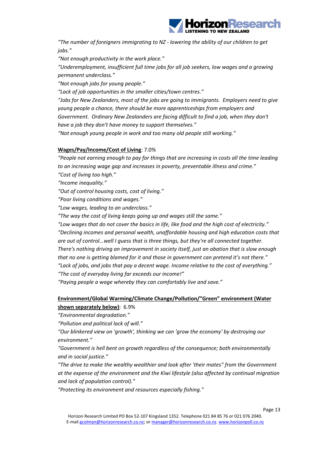

*"The number of foreigners immigrating to NZ ‐ lowering the ability of our children to get jobs."*

*"Not enough productivity in the work place."*

*"Underemployment, insufficient full time jobs for all job seekers, low wages and a growing permanent underclass."*

*"Not enough jobs for young people."*

*"Lack of job opportunities in the smaller cities/town centres."*

*"Jobs for New Zealanders, most of the jobs are going to immigrants. Employers need to give young people a chance, there should be more apprenticeships from employers and Government. Ordinary New Zealanders are facing difficult to find a job, when they don't have a job they don't have money to support themselves."*

*"Not enough young people in work and too many old people still working."*

#### **Wages/Pay/Income/Cost of Living**: 7.0%

*"People not earning enough to pay for things that are increasing in costs all the time leading to an increasing wage gap and increases in poverty, preventable illness and crime." "Cost of living too high."*

*"Income inequality."*

*"Out of control housing costs, cost of living."*

*"Poor living conditions and wages."*

*"Low wages, leading to an underclass."*

*"The way the cost of living keeps going up and wages still the same."*

*"Low wages that do not cover the basics in life, like food and the high cost of electricity." "Declining incomes and personal wealth, unaffordable housing and high education costs that are out of control...well I guess that is three things, but they're all connected together. There's nothing driving an improvement in society itself, just an abation that is slow enough that no one is getting blamed for it and those in government can pretend it's not there." "Lack of jobs, and jobs that pay a decent wage. Income relative to the cost of everything." "The cost of everyday living far exceeds our income!"*

*"Paying people a wage whereby they can comfortably live and save."*

### **Environment/Global Warming/Climate Change/Pollution/"Green" environment (Water shown separately below)**: 6.9%

*"Environmental degradation."*

*"Pollution and political lack of will."*

*"Our blinkered view on 'growth', thinking we can 'grow the economy' by destroying our environment."*

*"Government is hell bent on growth regardless of the consequence; both environmentally and in social justice."*

*"The drive to make the wealthy wealthier and look after 'their mates" from the Government at the expense of the environment and the Kiwi lifestyle (also affected by continual migration and lack of population control)."*

*"Protecting its environment and resources especially fishing."*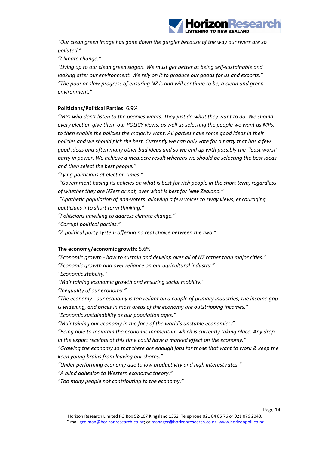

*"Our clean green image has gone down the gurgler because of the way our rivers are so polluted."*

*"Climate change."*

*"Living up to our clean green slogan. We must get better at being self‐sustainable and looking after our environment. We rely on it to produce our goods for us and exports." "The poor or slow progress of ensuring NZ is and will continue to be, a clean and green environment."*

#### **Politicians/Political Parties**: 6.9%

*"MPs who don't listen to the peoples wants. They just do what they want to do. We should every election give them our POLICY views, as well as selecting the people we want as MPs, to then enable the policies the majority want. All parties have some good ideas in their policies and we should pick the best. Currently we can only vote for a party that has a few good ideas and often many other bad ideas and so we end up with possibly the "least worst" party in power. We achieve a mediocre result whereas we should be selecting the best ideas and then select the best people."*

*"Lying politicians at election times."*

*"Government basing its policies on what is best for rich people in the short term, regardless of whether they are NZers or not, over what is best for New Zealand."*

*"Apathetic population of non‐voters: allowing a few voices to sway views, encouraging politicians into short term thinking."*

*"Politicians unwilling to address climate change."*

*"Corrupt political parties."*

*"A political party system offering no real choice between the two."*

#### **The economy/economic growth**: 5.6%

*"Economic growth ‐ how to sustain and develop over all of NZ rather than major cities." "Economic growth and over reliance on our agricultural industry." "Economic stability." "Maintaining economic growth and ensuring social mobility." "Inequality of our economy."*

*"The economy ‐ our economy is too reliant on a couple of primary industries, the income gap is widening, and prices in most areas of the economy are outstripping incomes."*

*"Economic sustainability as our population ages."*

*"Maintaining our economy in the face of the world's unstable economies."*

*"Being able to maintain the economic momentum which is currently taking place. Any drop in the export receipts at this time could have a marked effect on the economy."*

*"Growing the economy so that there are enough jobs for those that want to work & keep the keen young brains from leaving our shores."*

*"Under performing economy due to low productivity and high interest rates."*

*"A blind adhesion to Western economic theory."*

*"Too many people not contributing to the economy."*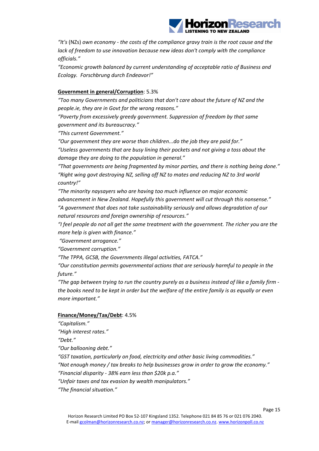

*"It's* (NZs) *own economy ‐ the costs of the compliance gravy train is the root cause and the lack of freedom to use innovation because new ideas don't comply with the compliance officials."*

*"Economic growth balanced by current understanding of acceptable ratio of Business and Ecology. Forschbrung durch Endeavor!"*

#### **Government in general/Corruption**: 5.3%

*"Too many Governments and politicians that don't care about the future of NZ and the people.ie, they are in Govt for the wrong reasons."*

*"Poverty from excessively greedy government. Suppression of freedom by that same government and its bureaucracy."*

*"This current Government."*

*"Our government they are worse than children...do the job they are paid for."*

*"Useless governments that are busy lining their pockets and not giving a toss about the damage they are doing to the population in general."*

*"That governments are being fragmented by minor parties, and there is nothing being done." "Right wing govt destroying NZ, selling off NZ to mates and reducing NZ to 3rd world country!"*

*"The minority naysayers who are having too much influence on major economic advancement in New Zealand. Hopefully this government will cut through this nonsense." "A government that does not take sustainability seriously and allows degradation of our natural resources and foreign ownership of resources."*

*"I feel people do not all get the same treatment with the government. The richer you are the more help is given with finance."*

*"Government arrogance."*

*"Government corruption."*

*"The TPPA, GCSB, the Governments illegal activities, FATCA."*

*"Our constitution permits governmental actions that are seriously harmful to people in the future."*

"The gap between trying to run the country purely as a business instead of like a family firm the books need to be kept in order but the welfare of the entire family is as equally or even *more important."*

#### **Finance/Money/Tax/Debt**: 4.5%

*"Capitalism."*

*"High interest rates."*

*"Debt."*

*"Our ballooning debt."*

*"GST taxation, particularly on food, electricity and other basic living commodities."*

*"Not enough money / tax breaks to help businesses grow in order to grow the economy."*

*"Financial disparity ‐ 38% earn less than \$20k p.a."*

*"Unfair taxes and tax evasion by wealth manipulators."*

*"The financial situation."*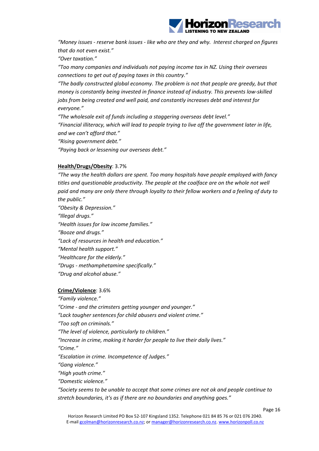

*"Money issues ‐ reserve bank issues ‐ like who are they and why. Interest charged on figures that do not even exist."*

*"Over taxation."*

*"Too many companies and individuals not paying income tax in NZ. Using their overseas connections to get out of paying taxes in this country."*

*"The badly constructed global economy. The problem is not that people are greedy, but that money is constantly being invested in finance instead of industry. This prevents low‐skilled jobs from being created and well paid, and constantly increases debt and interest for everyone."*

*"The wholesale exit of funds including a staggering overseas debt level." "Financial illiteracy, which will lead to people trying to live off the government later in life, and we can't afford that."*

*"Rising government debt."*

*"Paying back or lessening our overseas debt."*

#### **Health/Drugs/Obesity**: 3.7%

*"The way the health dollars are spent. Too many hospitals have people employed with fancy titles and questionable productivity. The people at the coalface are on the whole not well paid and many are only there through loyalty to their fellow workers and a feeling of duty to the public."*

*"Obesity & Depression."*

*"Illegal drugs."*

*"Health issues for low income families."*

*"Booze and drugs."*

*"Lack of resources in health and education."*

*"Mental health support."*

*"Healthcare for the elderly."*

*"Drugs ‐ methamphetamine specifically."*

*"Drug and alcohol abuse."*

#### **Crime/Violence**: 3.6%

*"Family violence."*

*"Crime ‐ and the crimsters getting younger and younger."*

*"Lack tougher sentences for child abusers and violent crime."*

*"Too soft on criminals."*

*"The level of violence, particularly to children."*

*"Increase in crime, making it harder for people to live their daily lives."*

*"Crime."*

*"Escalation in crime. Incompetence of Judges."*

*"Gang violence."*

*"High youth crime."*

*"Domestic violence."*

*"Society seems to be unable to accept that some crimes are not ok and people continue to stretch boundaries, it's as if there are no boundaries and anything goes."*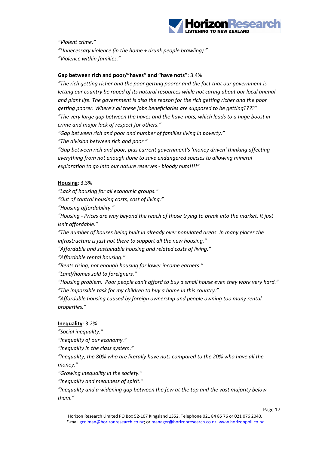

*"Violent crime."*

*"Unnecessary violence (in the home + drunk people brawling)." "Violence within families."*

#### **Gap between rich and poor/"haves" and "have nots"**: 3.4%

*"The rich getting richer and the poor getting poorer and the fact that our government is letting our country be raped of its natural resources while not caring about our local animal and plant life. The government is also the reason for the rich getting richer and the poor getting poorer. Where's all these jobs beneficiaries are supposed to be getting????" "The very large gap between the haves and the have‐nots, which leads to a huge boost in crime and major lack of respect for others."*

*"Gap between rich and poor and number of families living in poverty."*

*"The division between rich and poor."*

*"Gap between rich and poor, plus current government's 'money driven' thinking affecting everything from not enough done to save endangered species to allowing mineral exploration to go into our nature reserves ‐ bloody nuts!!!!"*

#### **Housing**: 3.3%

*"Lack of housing for all economic groups."*

*"Out of control housing costs, cost of living."*

*"Housing affordability."*

*"Housing ‐ Prices are way beyond the reach of those trying to break into the market. It just isn't affordable."*

*"The number of houses being built in already over populated areas. In many places the infrastructure is just not there to support all the new housing."*

*"Affordable and sustainable housing and related costs of living."*

*"Affordable rental housing."*

*"Rents rising, not enough housing for lower income earners."*

*"Land/homes sold to foreigners."*

*"Housing problem. Poor people can't afford to buy a small house even they work very hard." "The impossible task for my children to buy a home in this country."*

*"Affordable housing caused by foreign ownership and people owning too many rental properties."*

#### **Inequality**: 3.2%

*"Social inequality."*

*"Inequality of our economy."*

*"Inequality in the class system."*

*"Inequality, the 80% who are literally have nots compared to the 20% who have all the money."*

*"Growing inequality in the society."*

*"Inequality and meanness of spirit."*

*"Inequality and a widening gap between the few at the top and the vast majority below them."*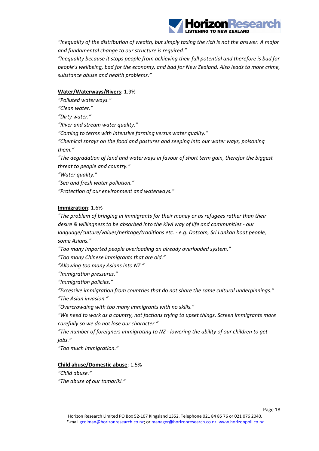

*"Inequality of the distribution of wealth, but simply taxing the rich is not the answer. A major and fundamental change to our structure is required."*

*"Inequality because it stops people from achieving their full potential and therefore is bad for people's wellbeing, bad for the economy, and bad for New Zealand. Also leads to more crime, substance abuse and health problems."*

#### **Water/Waterways/Rivers**: 1.9%

*"Polluted waterways."*

*"Clean water."*

*"Dirty water."*

*"River and stream water quality."*

*"Coming to terms with intensive farming versus water quality."*

*"Chemical sprays on the food and pastures and seeping into our water ways, poisoning them."*

*"The degradation of land and waterways in favour of short term gain, therefor the biggest threat to people and country."*

*"Water quality."*

*"Sea and fresh water pollution."*

*"Protection of our environment and waterways."*

#### **Immigration**: 1.6%

*"The problem of bringing in immigrants for their money or as refugees rather than their desire & willingness to be absorbed into the Kiwi way of life and communities ‐ our language/culture/values/heritage/traditions etc. ‐ e.g. Dotcom, Sri Lankan boat people, some Asians."*

*"Too many imported people overloading an already overloaded system."*

*"Too many Chinese immigrants that are old."*

*"Allowing too many Asians into NZ."*

*"Immigration pressures."*

*"Immigration policies."*

*"Excessive immigration from countries that do not share the same cultural underpinnings." "The Asian invasion."*

*"Overcrowding with too many immigrants with no skills."*

*"We need to work as a country, not factions trying to upset things. Screen immigrants more carefully so we do not lose our character."*

*"The number of foreigners immigrating to NZ ‐ lowering the ability of our children to get jobs."*

*"Too much immigration."*

#### **Child abuse/Domestic abuse**: 1.5%

*"Child abuse." "The abuse of our tamariki."*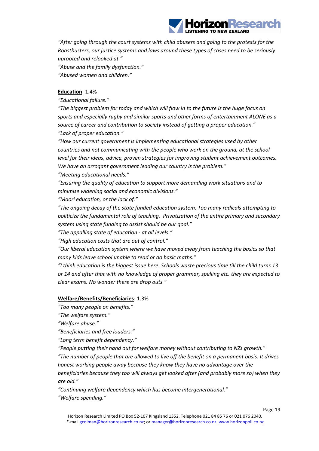

*"After going through the court systems with child abusers and going to the protests for the Roastbusters, our justice systems and laws around these types of cases need to be seriously uprooted and relooked at."*

*"Abuse and the family dysfunction." "Abused women and children."*

#### **Education**: 1.4%

*"Educational failure."*

*"The biggest problem for today and which will flow in to the future is the huge focus on sports and especially rugby and similar sports and other forms of entertainment ALONE as a source of career and contribution to society instead of getting a proper education." "Lack of proper education."*

*"How our current government is implementing educational strategies used by other countries and not communicating with the people who work on the ground, at the school level for their ideas, advice, proven strategies for improving student achievement outcomes. We have an arrogant government leading our country is the problem."*

*"Meeting educational needs."*

*"Ensuring the quality of education to support more demanding work situations and to minimise widening social and economic divisions."*

*"Maori education, or the lack of."*

*"The ongoing decay of the state funded education system. Too many radicals attempting to politicize the fundamental role of teaching. Privatization of the entire primary and secondary system using state funding to assist should be our goal."*

*"The appalling state of education ‐ at all levels."*

*"High education costs that are out of control."*

*"Our liberal education system where we have moved away from teaching the basics so that many kids leave school unable to read or do basic maths."*

*"I think education is the biggest issue here. Schools waste precious time till the child turns 13 or 14 and after that with no knowledge of proper grammar, spelling etc. they are expected to clear exams. No wonder there are drop outs."*

#### **Welfare/Benefits/Beneficiaries**: 1.3%

*"Too many people on benefits."*

*"The welfare system."*

*"Welfare abuse."*

*"Beneficiaries and free loaders."*

*"Long term benefit dependency."*

*"People putting their hand out for welfare money without contributing to NZs growth."*

*"The number of people that are allowed to live off the benefit on a permanent basis. It drives honest working people away because they know they have no advantage over the*

*beneficiaries because they too will always get looked after (and probably more so) when they are old."*

*"Continuing welfare dependency which has become intergenerational." "Welfare spending."*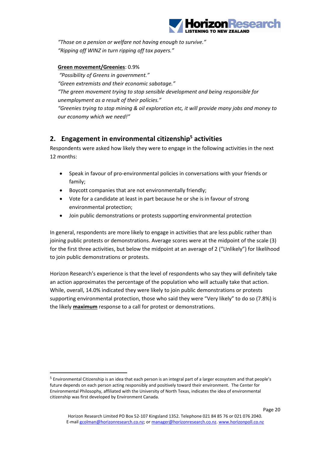

*"Those on a pension or welfare not having enough to survive." "Ripping off WINZ in turn ripping off tax payers."*

#### **Green movement/Greenies**: 0.9%

*"Possibility of Greens in government."*

*"Green extremists and their economic sabotage."*

*"The green movement trying to stop sensible development and being responsible for unemployment as a result of their policies."*

*"Greenies trying to stop mining & oil exploration etc, it will provide many jobs and money to our economy which we need!"*

## **2. Engagement in environmental citizenship5 activities**

Respondents were asked how likely they were to engage in the following activities in the next 12 months:

- Speak in favour of pro-environmental policies in conversations with your friends or family;
- Boycott companies that are not environmentally friendly;
- Vote for a candidate at least in part because he or she is in favour of strong environmental protection;
- Join public demonstrations or protests supporting environmental protection

In general, respondents are more likely to engage in activities that are less public rather than joining public protests or demonstrations. Average scores were at the midpoint of the scale (3) for the first three activities, but below the midpoint at an average of 2 ("Unlikely") for likelihood to join public demonstrations or protests.

Horizon Research's experience is that the level of respondents who say they will definitely take an action approximates the percentage of the population who will actually take that action. While, overall, 14.0% indicated they were likely to join public demonstrations or protests supporting environmental protection, those who said they were "Very likely" to do so (7.8%) is the likely **maximum** response to a call for protest or demonstrations.

 $<sup>5</sup>$  Environmental Citizenship is an idea that each person is an integral part of a larger ecosystem and that people's</sup> future depends on each person acting responsibly and positively toward their environment. The Center for Environmental Philosophy, affiliated with the University of North Texas, indicates the idea of environmental citizenship was first developed by Environment Canada.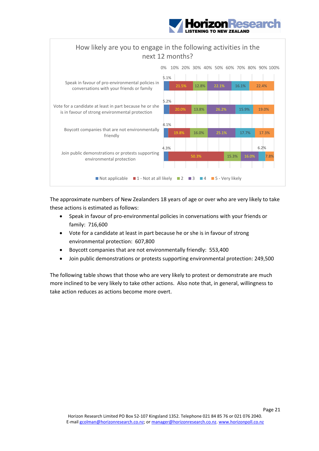



The approximate numbers of New Zealanders 18 years of age or over who are very likely to take these actions is estimated as follows:

- Speak in favour of pro‐environmental policies in conversations with your friends or family: 716,600
- Vote for a candidate at least in part because he or she is in favour of strong environmental protection: 607,800
- Boycott companies that are not environmentally friendly: 553,400
- Join public demonstrations or protests supporting environmental protection: 249,500

The following table shows that those who are very likely to protest or demonstrate are much more inclined to be very likely to take other actions. Also note that, in general, willingness to take action reduces as actions become more overt.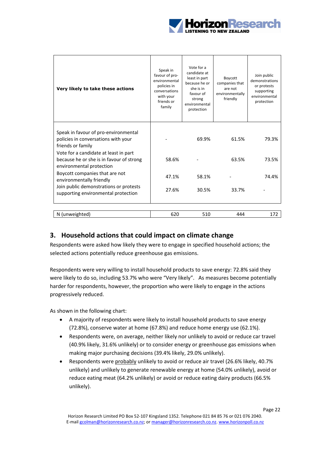

| Very likely to take these actions                                                                             | Speak in<br>favour of pro-<br>environmental<br>policies in<br>conversations<br>with your<br>friends or<br>family | Vote for a<br>candidate at<br>least in part<br>because he or<br>she is in<br>favour of<br>strong<br>environmental<br>protection | Boycott<br>companies that<br>are not<br>environmentally<br>friendly | Join public<br>demonstrations<br>or protests<br>supporting<br>environmental<br>protection |
|---------------------------------------------------------------------------------------------------------------|------------------------------------------------------------------------------------------------------------------|---------------------------------------------------------------------------------------------------------------------------------|---------------------------------------------------------------------|-------------------------------------------------------------------------------------------|
| Speak in favour of pro-environmental<br>policies in conversations with your<br>friends or family              |                                                                                                                  | 69.9%                                                                                                                           | 61.5%                                                               | 79.3%                                                                                     |
| Vote for a candidate at least in part<br>because he or she is in favour of strong<br>environmental protection | 58.6%                                                                                                            |                                                                                                                                 | 63.5%                                                               | 73.5%                                                                                     |
| Boycott companies that are not<br>environmentally friendly                                                    | 47.1%                                                                                                            | 58.1%                                                                                                                           |                                                                     | 74.4%                                                                                     |
| Join public demonstrations or protests<br>supporting environmental protection                                 | 27.6%                                                                                                            | 30.5%                                                                                                                           | 33.7%                                                               |                                                                                           |
|                                                                                                               |                                                                                                                  |                                                                                                                                 |                                                                     |                                                                                           |
| N (unweighted)                                                                                                | 620                                                                                                              | 510                                                                                                                             | 444                                                                 | 172                                                                                       |

## **3. Household actions that could impact on climate change**

Respondents were asked how likely they were to engage in specified household actions; the selected actions potentially reduce greenhouse gas emissions.

Respondents were very willing to install household products to save energy: 72.8% said they were likely to do so, including 53.7% who were "Very likely". As measures become potentially harder for respondents, however, the proportion who were likely to engage in the actions progressively reduced.

As shown in the following chart:

- A majority of respondents were likely to install household products to save energy (72.8%), conserve water at home (67.8%) and reduce home energy use (62.1%).
- Respondents were, on average, neither likely nor unlikely to avoid or reduce car travel (40.9% likely, 31.6% unlikely) or to consider energy or greenhouse gas emissions when making major purchasing decisions (39.4% likely, 29.0% unlikely).
- Respondents were probably unlikely to avoid or reduce air travel (26.6% likely, 40.7% unlikely) and unlikely to generate renewable energy at home (54.0% unlikely), avoid or reduce eating meat (64.2% unlikely) or avoid or reduce eating dairy products (66.5% unlikely).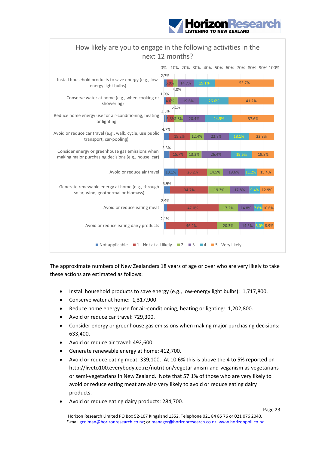





The approximate numbers of New Zealanders 18 years of age or over who are very likely to take these actions are estimated as follows:

- Install household products to save energy (e.g., low-energy light bulbs): 1,717,800.
- Conserve water at home: 1,317,900.
- Reduce home energy use for air-conditioning, heating or lighting: 1,202,800.
- Avoid or reduce car travel: 729,300.
- Consider energy or greenhouse gas emissions when making major purchasing decisions: 633,400.
- Avoid or reduce air travel: 492,600.
- Generate renewable energy at home: 412,700.
- Avoid or reduce eating meat: 339,100. At 10.6% this is above the 4 to 5% reported on http://liveto100.everybody.co.nz/nutrition/vegetarianism-and-veganism as vegetarians or semi‐vegetarians in New Zealand. Note that 57.1% of those who are very likely to avoid or reduce eating meat are also very likely to avoid or reduce eating dairy products.
- Avoid or reduce eating dairy products: 284,700.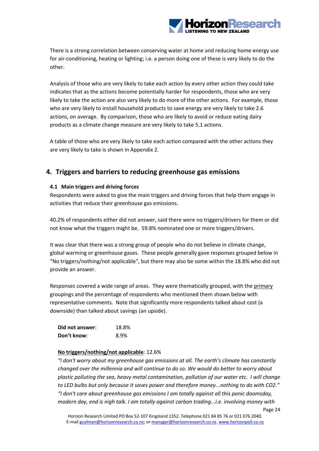

There is a strong correlation between conserving water at home and reducing home energy use for air‐conditioning, heating or lighting; i.e. a person doing one of these is very likely to do the other.

Analysis of those who are very likely to take each action by every other action they could take indicates that as the actions become potentially harder for respondents, those who are very likely to take the action are also very likely to do more of the other actions. For example, those who are very likely to install household products to save energy are very likely to take 2.6 actions, on average. By comparison, those who are likely to avoid or reduce eating dairy products as a climate change measure are very likely to take 5.1 actions.

A table of those who are very likely to take each action compared with the other actions they are very likely to take is shown in Appendix 2.

## **4. Triggers and barriers to reducing greenhouse gas emissions**

#### **4.1 Main triggers and driving forces**

Respondents were asked to give the main triggers and driving forces that help them engage in activities that reduce their greenhouse gas emissions.

40.2% of respondents either did not answer, said there were no triggers/drivers for them or did not know what the triggers might be. 59.8% nominated one or more triggers/drivers.

It was clear that there was a strong group of people who do not believe in climate change, global warming or greenhouse gases. These people generally gave responses grouped below in "No triggers/nothing/not applicable", but there may also be some within the 18.8% who did not provide an answer.

Responses covered a wide range of areas. They were thematically grouped, with the primary groupings and the percentage of respondents who mentioned them shown below with representative comments. Note that significantly more respondents talked about cost (a downside) than talked about savings (an upside).

| Did not answer: | 18.8% |
|-----------------|-------|
| Don't know:     | 8.9%  |

#### **No triggers/nothing/not applicable**: 12.6%

*"I don't worry about my greenhouse gas emissions at all. The earth's climate has constantly changed over the millennia and will continue to do so. We would do better to worry about plastic polluting the sea, heavy metal contamination, pollution of our water etc. I will change to LED bulbs but only because it saves power and therefore money...nothing to do with CO2." "I don't care about greenhouse gas emissions I am totally against all this panic doomsday, modern day, end is nigh talk. I am totally against carbon trading...i.e. involving money with*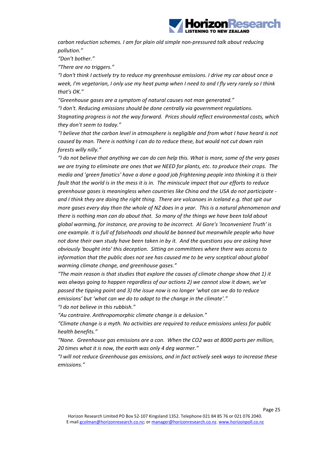

*carbon reduction schemes. I am for plain old simple non‐pressured talk about reducing pollution."*

*"Don't bother."*

*"There are no triggers."*

*"I don't think I actively try to reduce my greenhouse emissions. I drive my car about once a* week, I'm vegetarian, I only use my heat pump when I need to and I fly very rarely so I think *that's OK."*

*"Greenhouse gases are a symptom of natural causes not man generated."*

*"I don't. Reducing emissions should be done centrally via government regulations. Stagnating progress is not the way forward. Prices should reflect environmental costs, which they don't seem to today."*

*"I believe that the carbon level in atmosphere is negligible and from what I have heard is not caused by man. There is nothing I can do to reduce these, but would not cut down rain forests willy nilly."*

"I do not believe that anything we can do can help this. What is more, some of the very gases we are trying to eliminate are ones that we NEED for plants, etc. to produce their crops. The *media and 'green fanatics' have a done a good job frightening people into thinking it is their* fault that the world is in the mess it is in. The miniscule impact that our efforts to reduce *greenhouse gases is meaningless when countries like China and the USA do not participate ‐*  and I think they are doing the right thing. There are volcanoes in Iceland e.g. that spit our more gases every day than the whole of NZ does in a year. This is a natural phenomenon and *there is nothing man can do about that. So many of the things we have been told about global warming, for instance, are proving to be incorrect. Al Gore's 'Inconvenient Truth' is one example. It is full of falsehoods and should be banned but meanwhile people who have not done their own study have been taken in by it. And the questions you are asking have obviously 'bought into' this deception. Sitting on committees where there was access to information that the public does not see has caused me to be very sceptical about global warming climate change, and greenhouse gases."*

*"The main reason is that studies that explore the causes of climate change show that 1) it was always going to happen regardless of our actions 2) we cannot slow it down, we've passed the tipping point and 3) the issue now is no longer 'what can we do to reduce emissions' but 'what can we do to adapt to the change in the climate'." "I do not believe in this rubbish."*

*"Au contraire. Anthropomorphic climate change is a delusion."*

*"Climate change is a myth. No activities are required to reduce emissions unless for public health benefits."*

*"None. Greenhouse gas emissions are a con. When the CO2 was at 8000 parts per million, 20 times what it is now, the earth was only 4 deg warmer."*

*"I will not reduce Greenhouse gas emissions, and in fact actively seek ways to increase these emissions."*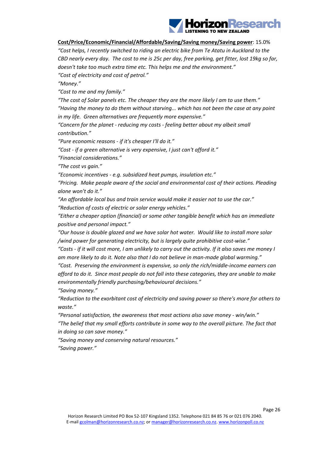

#### **Cost/Price/Economic/Financial/Affordable/Saving/Saving money/Saving power**: 15.0%

*"Cost helps, I recently switched to riding an electric bike from Te Atatu in Auckland to the* CBD nearly every day. The cost to me is 25c per day, free parking, get fitter, lost 19kg so far, *doesn't take too much extra time etc. This helps me and the environment." "Cost of electricity and cost of petrol."*

*"Money."*

*"Cost to me and my family."*

*"The cost of Solar panels etc. The cheaper they are the more likely I am to use them." "Having the money to do them without starving... which has not been the case at any point in my life. Green alternatives are frequently more expensive."*

*"Concern for the planet ‐ reducing my costs ‐ feeling better about my albeit small contribution."*

*"Pure economic reasons ‐ if it's cheaper I'll do it."*

*"Cost ‐ if a green alternative is very expensive, I just can't afford it."*

*"Financial considerations."*

*"The cost vs gain."*

*"Economic incentives ‐ e.g. subsidized heat pumps, insulation etc."*

*"Pricing. Make people aware of the social and environmental cost of their actions. Pleading alone won't do it."*

*"An affordable local bus and train service would make it easier not to use the car."*

*"Reduction of costs of electric or solar energy vehicles."*

*"Either a cheaper option (financial) or some other tangible benefit which has an immediate positive and personal impact."*

*"Our house is double glazed and we have solar hot water. Would like to install more solar /wind power for generating electricity, but is largely quite prohibitive cost‐wise."*

"Costs - if it will cost more, I am unlikely to carry out the activity. If it also saves me money I *am more likely to do it. Note also that I do not believe in man‐made global warming."*

*"Cost. Preserving the environment is expensive, so only the rich/middle‐income earners can* afford to do it. Since most people do not fall into these categories, they are unable to make *environmentally friendly purchasing/behavioural decisions."*

*"Saving money."*

*"Reduction to the exorbitant cost of electricity and saving power so there's more for others to waste."*

*"Personal satisfaction, the awareness that most actions also save money ‐ win/win." "The belief that my small efforts contribute in some way to the overall picture. The fact that in doing so can save money."*

*"Saving money and conserving natural resources." "Saving power."*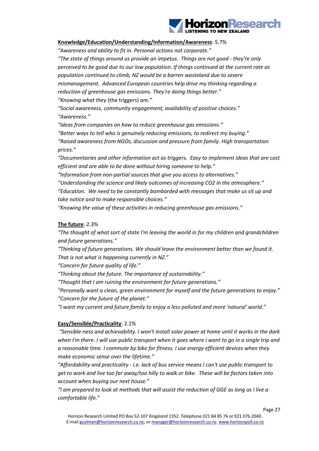

#### **Knowledge/Education/Understanding/Information/Awareness**: 5.7%

*"Awareness and ability to fit in. Personal actions not corporate." "The state of things around us provide an impetus. Things are not good ‐ they're only perceived to be good due to our low population. If things continued at the current rate as population continued to climb, NZ would be a barren wasteland due to severe mismanagement. Advanced European countries help drive my thinking regarding a reduction of greenhouse gas emissions. They're doing things better." "Knowing what they* (the triggers) *are."*

*"Social awareness, community engagement, availability of positive choices." "Awareness."*

*"Ideas from companies on how to reduce greenhouse gas emissions." "Better ways to tell who is genuinely reducing emissions, to redirect my buying." "Raised awareness from NGOs, discussion and pressure from family. High transportation prices."*

*"Documentaries and other information act as triggers. Easy to implement ideas that are cost efficient and are able to be done without hiring someone to help."*

*"Information from non‐partial sources that give you access to alternatives."*

*"Understanding the science and likely outcomes of increasing CO2 in the atmosphere." "Education. We need to be constantly bombarded with messages that make us sit up and take notice and to make responsible choices."*

*"Knowing the value of these activities in reducing greenhouse gas emissions."*

#### **The future**: 2.3%

*"The thought of what sort of state I'm leaving the world in for my children and grandchildren and future generations."*

*"Thinking of future generations. We should leave the environment better than we found it. That is not what is happening currently in NZ."*

*"Concern for future quality of life."*

*"Thinking about the future. The importance of sustainability."*

*"Thought that I am ruining the environment for future generations."*

*"Personally want a clean, green environment for myself and the future generations to enjoy." "Concern for the future of the planet."*

*"I want my current and future family to enjoy a less polluted and more 'natural' world."*

#### **Easy/Sensible/Practicality**: 2.1%

*"Sensible‐ness and achievability. I won't install solar power at home until it works in the dark* when I'm there. I will use public transport when it goes where I want to go in a single trip and *a reasonable time. I commute by bike for fitness. I use energy efficient devices when they make economic sense over the lifetime."*

*"Affordability and practicality ‐ i.e. lack of bus service means I can't use public transport to* get to work and live too far away/too hilly to walk or bike. These will be factors taken into *account when buying our next house."*

"I am prepared to look at methods that will assist the reduction of GGE as long as I live a *comfortable life."*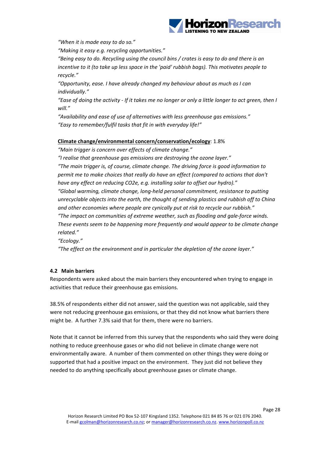

*"When it is made easy to do so."*

*"Making it easy e.g. recycling opportunities."*

*"Being easy to do. Recycling using the council bins / crates is easy to do and there is an incentive to it (to take up less space in the 'paid' rubbish bags). This motivates people to recycle."*

*"Opportunity, ease. I have already changed my behaviour about as much as I can individually."*

"Ease of doing the activity - If it takes me no longer or only a little longer to act green, then I *will."*

*"Availability and ease of use of alternatives with less greenhouse gas emissions." "Easy to remember/fulfil tasks that fit in with everyday life!"*

#### **Climate change/environmental concern/conservation/ecology**: 1.8%

*"Main trigger is concern over effects of climate change."*

*"I realise that greenhouse gas emissions are destroying the ozone layer."*

*"The main trigger is, of course, climate change. The driving force is good information to permit me to make choices that really do have an effect (compared to actions that don't have any effect on reducing CO2e, e.g. installing solar to offset our hydro)."*

*"Global warming, climate change, long‐held personal commitment, resistance to putting unrecyclable objects into the earth, the thought of sending plastics and rubbish off to China and other economies where people are cynically put at risk to recycle our rubbish."*

*"The impact on communities of extreme weather, such as flooding and gale‐force winds. These events seem to be happening more frequently and would appear to be climate change related."*

*"Ecology."*

*"The effect on the environment and in particular the depletion of the ozone layer."*

#### **4.2 Main barriers**

Respondents were asked about the main barriers they encountered when trying to engage in activities that reduce their greenhouse gas emissions.

38.5% of respondents either did not answer, said the question was not applicable, said they were not reducing greenhouse gas emissions, or that they did not know what barriers there might be. A further 7.3% said that for them, there were no barriers.

Note that it cannot be inferred from this survey that the respondents who said they were doing nothing to reduce greenhouse gases or who did not believe in climate change were not environmentally aware. A number of them commented on other things they were doing or supported that had a positive impact on the environment. They just did not believe they needed to do anything specifically about greenhouse gases or climate change.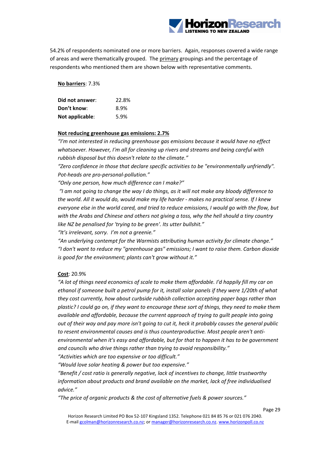

54.2% of respondents nominated one or more barriers. Again, responses covered a wide range of areas and were thematically grouped. The primary groupings and the percentage of respondents who mentioned them are shown below with representative comments.

**No barriers**: 7.3%

| Did not answer: | 22.8% |
|-----------------|-------|
| Don't know:     | 8.9%  |
| Not applicable: | 5.9%  |

#### **Not reducing greenhouse gas emissions: 2.7%**

*"I'm not interested in reducing greenhouse gas emissions because it would have no effect whatsoever. However, I'm all for cleaning up rivers and streams and being careful with rubbish disposal but this doesn't relate to the climate."*

*"Zero confidence in those that declare specific activities to be "environmentally unfriendly". Pot‐heads are pro‐personal‐pollution."*

*"Only one person, how much difference can I make?"*

"I am not going to change the way I do things, as it will not make any bloody difference to *the world. All it would do, would make my life harder ‐ makes no practical sense. If I knew everyone else in the world cared, and tried to reduce emissions, I would go with the flow, but with the Arabs and Chinese and others not giving a toss, why the hell should a tiny country like NZ be penalised for 'trying to be green'. Its utter bullshit."*

*"It's irrelevant, sorry. I'm not a greenie."*

*"An underlying contempt for the Warmists attributing human activity for climate change." "I don't want to reduce my "greenhouse gas" emissions; I want to raise them. Carbon dioxide is good for the environment; plants can't grow without it."*

#### **Cost**: 20.9%

*"A lot of things need economics of scale to make them affordable. I'd happily fill my car on ethanol if someone built a petrol pump for it, install solar panels if they were 1/20th of what they cost currently, how about curbside rubbish collection accepting paper bags rather than* plastic? I could go on, if they want to encourage these sort of things, they need to make them *available and affordable, because the current approach of trying to guilt people into going* out of their way and pay more isn't going to cut it, heck it probably causes the general public *to resent environmental causes and is thus counterproductive. Most people aren't anti‐ environmental when it's easy and affordable, but for that to happen it has to be government and councils who drive things rather than trying to avoid responsibility."*

*"Activities which are too expensive or too difficult."*

*"Would love solar heating & power but too expensive."*

*"Benefit / cost ratio is generally negative, lack of incentives to change, little trustworthy information about products and brand available on the market, lack of free individualised advice."*

*"The price of organic products & the cost of alternative fuels & power sources."*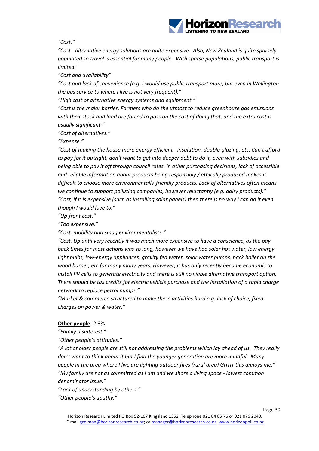

*"Cost."*

*"Cost ‐ alternative energy solutions are quite expensive. Also, New Zealand is quite sparsely populated so travel is essential for many people. With sparse populations, public transport is limited."*

*"Cost and availability"*

*"Cost and lack of convenience (e.g. I would use public transport more, but even in Wellington the bus service to where I live is not very frequent)."*

*"High cost of alternative energy systems and equipment."*

*"Cost is the major barrier. Farmers who do the utmost to reduce greenhouse gas emissions* with their stock and land are forced to pass on the cost of doing that, and the extra cost is *usually significant."*

*"Cost of alternatives."*

*"Expense."*

*"Cost of making the house more energy efficient ‐ insulation, double‐glazing, etc. Can't afford* to pay for it outright, don't want to get into deeper debt to do it, even with subsidies and *being able to pay it off through council rates. In other purchasing decisions, lack of accessible and reliable information about products being responsibly / ethically produced makes it difficult to choose more environmentally‐friendly products. Lack of alternatives often means we continue to support polluting companies, however reluctantly (e.g. dairy products)."* "Cost, if it is expensive (such as installing solar panels) then there is no way I can do it even *though I would love to."*

*"Up‐front cost."*

*"Too expensive."*

*"Cost, mobility and smug environmentalists."*

*"Cost. Up until very recently it was much more expensive to have a conscience, as the pay back times for most actions was so long, however we have had solar hot water, low energy light bulbs, low‐energy appliances, gravity fed water, solar water pumps, back boiler on the wood burner, etc for many many years. However, it has only recently become economic to install PV cells to generate electricity and there is still no viable alternative transport option. There should be tax credits for electric vehicle purchase and the installation of a rapid charge network to replace petrol pumps."*

*"Market & commerce structured to make these activities hard e.g. lack of choice, fixed charges on power & water."*

#### **Other people**: 2.3%

*"Family disinterest."*

*"Other people's attitudes."*

"A lot of older people are still not addressing the problems which lay ahead of us. They really *don't want to think about it but I find the younger generation are more mindful. Many people in the area where I live are lighting outdoor fires (rural area) Grrrrr this annoys me." "My family are not as committed as I am and we share a living space ‐ lowest common denominator issue."*

*"Lack of understanding by others." "Other people's apathy."*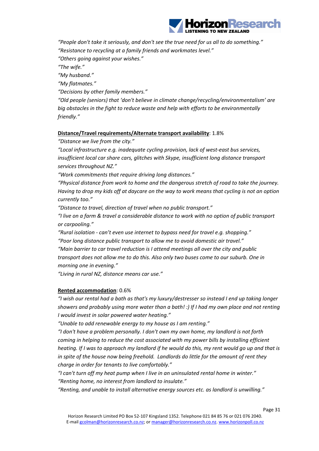

*"People don't take it seriously, and don't see the true need for us all to do something."*

*"Resistance to recycling at a family friends and workmates level."*

*"Others going against your wishes."*

*"The wife."*

*"My husband."*

*"My flatmates."*

*"Decisions by other family members."*

*"Old people (seniors) that 'don't believe in climate change/recycling/environmentalism' are big obstacles in the fight to reduce waste and help with efforts to be environmentally friendly."*

#### **Distance/Travel requirements/Alternate transport availability**: 1.8%

#### *"Distance we live from the city."*

*"Local infrastructure e.g. inadequate cycling provision, lack of west‐east bus services, insufficient local car share cars, glitches with Skype, insufficient long distance transport services throughout NZ."*

*"Work commitments that require driving long distances."*

*"Physical distance from work to home and the dangerous stretch of road to take the journey.* Having to drop my kids off at daycare on the way to work means that cycling is not an option *currently too."*

*"Distance to travel, direction of travel when no public transport."*

*"I live on a farm & travel a considerable distance to work with no option of public transport or carpooling."*

*"Rural isolation ‐ can't even use internet to bypass need for travel e.g. shopping." "Poor long distance public transport to allow me to avoid domestic air travel."*

*"Main barrier to car travel reduction is I attend meetings all over the city and public transport does not allow me to do this. Also only two buses come to our suburb. One in morning one in evening."*

*"Living in rural NZ, distance means car use."*

#### **Rented accommodation**: 0.6%

*"I wish our rental had a bath as that's my luxury/destresser so instead I end up taking longer showers and probably using more water than a bath! :) If I had my own place and not renting I would invest in solar powered water heating."*

*"Unable to add renewable energy to my house as I am renting."*

*"I don't have a problem personally. I don't own my own home, my landlord is not forth coming in helping to reduce the cost associated with my power bills by installing efficient* heating. If I was to approach my landlord if he would do this, my rent would go up and that is *in spite of the house now being freehold. Landlords do little for the amount of rent they charge in order for tenants to live comfortably."*

*"I can't turn off my heat pump when I live in an uninsulated rental home in winter." "Renting home, no interest from landlord to insulate."*

*"Renting, and unable to install alternative energy sources etc. as landlord is unwilling."*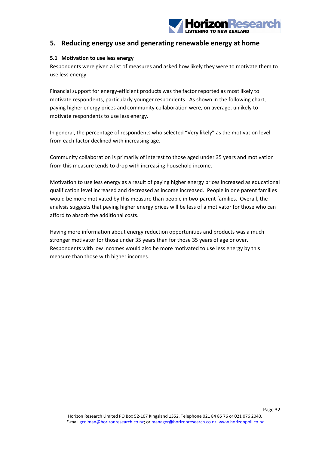

## **5. Reducing energy use and generating renewable energy at home**

#### **5.1 Motivation to use less energy**

Respondents were given a list of measures and asked how likely they were to motivate them to use less energy.

Financial support for energy‐efficient products was the factor reported as most likely to motivate respondents, particularly younger respondents. As shown in the following chart, paying higher energy prices and community collaboration were, on average, unlikely to motivate respondents to use less energy.

In general, the percentage of respondents who selected "Very likely" as the motivation level from each factor declined with increasing age.

Community collaboration is primarily of interest to those aged under 35 years and motivation from this measure tends to drop with increasing household income.

Motivation to use less energy as a result of paying higher energy prices increased as educational qualification level increased and decreased as income increased. People in one parent families would be more motivated by this measure than people in two-parent families. Overall, the analysis suggests that paying higher energy prices will be less of a motivator for those who can afford to absorb the additional costs.

Having more information about energy reduction opportunities and products was a much stronger motivator for those under 35 years than for those 35 years of age or over. Respondents with low incomes would also be more motivated to use less energy by this measure than those with higher incomes.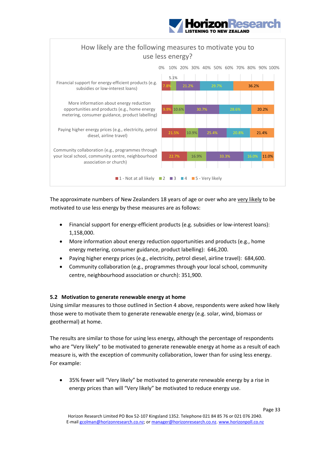





The approximate numbers of New Zealanders 18 years of age or over who are very likely to be motivated to use less energy by these measures are as follows:

- Financial support for energy‐efficient products (e.g. subsidies or low‐interest loans): 1,158,000.
- More information about energy reduction opportunities and products (e.g., home energy metering, consumer guidance, product labelling): 646,200.
- Paying higher energy prices (e.g., electricity, petrol diesel, airline travel): 684,600.
- Community collaboration (e.g., programmes through your local school, community centre, neighbourhood association or church): 351,900.

#### **5.2 Motivation to generate renewable energy at home**

Using similar measures to those outlined in Section 4 above, respondents were asked how likely those were to motivate them to generate renewable energy (e.g. solar, wind, biomass or geothermal) at home.

The results are similar to those for using less energy, although the percentage of respondents who are "Very likely" to be motivated to generate renewable energy at home as a result of each measure is, with the exception of community collaboration, lower than for using less energy. For example:

 35% fewer will "Very likely" be motivated to generate renewable energy by a rise in energy prices than will "Very likely" be motivated to reduce energy use.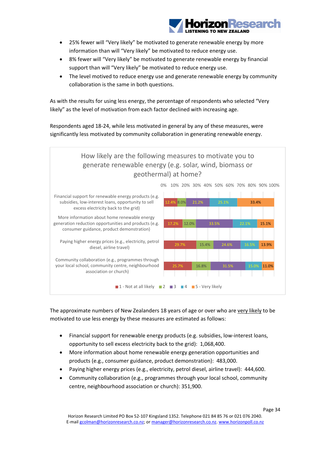

- 25% fewer will "Very likely" be motivated to generate renewable energy by more information than will "Very likely" be motivated to reduce energy use.
- 8% fewer will "Very likely" be motivated to generate renewable energy by financial support than will "Very likely" be motivated to reduce energy use.
- The level motived to reduce energy use and generate renewable energy by community collaboration is the same in both questions.

As with the results for using less energy, the percentage of respondents who selected "Very likely" as the level of motivation from each factor declined with increasing age.

Respondents aged 18‐24, while less motivated in general by any of these measures, were significantly less motivated by community collaboration in generating renewable energy.



The approximate numbers of New Zealanders 18 years of age or over who are very likely to be motivated to use less energy by these measures are estimated as follows:

- Financial support for renewable energy products (e.g. subsidies, low-interest loans, opportunity to sell excess electricity back to the grid): 1,068,400.
- More information about home renewable energy generation opportunities and products (e.g., consumer guidance, product demonstration): 483,000.
- Paying higher energy prices (e.g., electricity, petrol diesel, airline travel): 444,600.
- Community collaboration (e.g., programmes through your local school, community centre, neighbourhood association or church): 351,900.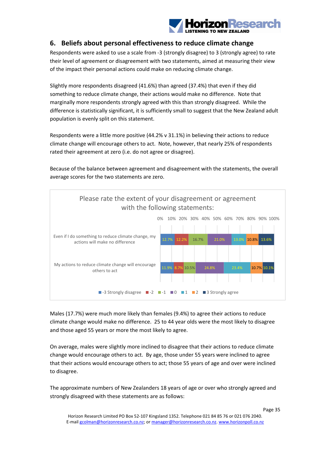

## **6. Beliefs about personal effectiveness to reduce climate change**

Respondents were asked to use a scale from ‐3 (strongly disagree) to 3 (strongly agree) to rate their level of agreement or disagreement with two statements, aimed at measuring their view of the impact their personal actions could make on reducing climate change.

Slightly more respondents disagreed (41.6%) than agreed (37.4%) that even if they did something to reduce climate change, their actions would make no difference. Note that marginally more respondents strongly agreed with this than strongly disagreed. While the difference is statistically significant, it is sufficiently small to suggest that the New Zealand adult population is evenly split on this statement.

Respondents were a little more positive (44.2% v 31.1%) in believing their actions to reduce climate change will encourage others to act. Note, however, that nearly 25% of respondents rated their agreement at zero (i.e. do not agree or disagree).

Because of the balance between agreement and disagreement with the statements, the overall average scores for the two statements are zero.



Males (17.7%) were much more likely than females (9.4%) to agree their actions to reduce climate change would make no difference. 25 to 44 year olds were the most likely to disagree and those aged 55 years or more the most likely to agree.

On average, males were slightly more inclined to disagree that their actions to reduce climate change would encourage others to act. By age, those under 55 years were inclined to agree that their actions would encourage others to act; those 55 years of age and over were inclined to disagree.

The approximate numbers of New Zealanders 18 years of age or over who strongly agreed and strongly disagreed with these statements are as follows: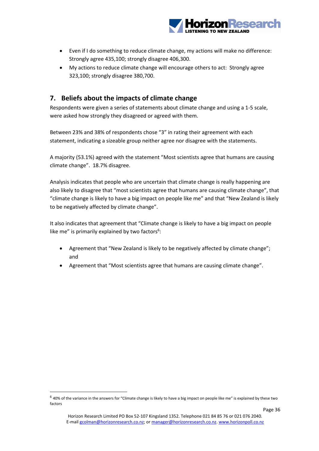

- Even if I do something to reduce climate change, my actions will make no difference: Strongly agree 435,100; strongly disagree 406,300.
- My actions to reduce climate change will encourage others to act: Strongly agree 323,100; strongly disagree 380,700.

## **7. Beliefs about the impacts of climate change**

Respondents were given a series of statements about climate change and using a 1‐5 scale, were asked how strongly they disagreed or agreed with them.

Between 23% and 38% of respondents chose "3" in rating their agreement with each statement, indicating a sizeable group neither agree nor disagree with the statements.

A majority (53.1%) agreed with the statement "Most scientists agree that humans are causing climate change". 18.7% disagree.

Analysis indicates that people who are uncertain that climate change is really happening are also likely to disagree that "most scientists agree that humans are causing climate change", that "climate change is likely to have a big impact on people like me" and that "New Zealand is likely to be negatively affected by climate change".

It also indicates that agreement that "Climate change is likely to have a big impact on people like me" is primarily explained by two factors<sup>6</sup>:

- Agreement that "New Zealand is likely to be negatively affected by climate change"; and
- Agreement that "Most scientists agree that humans are causing climate change".

 $6$  40% of the variance in the answers for "Climate change is likely to have a big impact on people like me" is explained by these two factors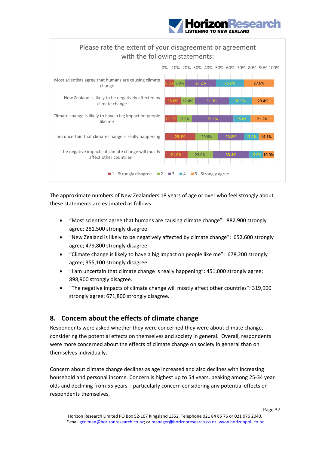



The approximate numbers of New Zealanders 18 years of age or over who feel strongly about these statements are estimated as follows:

- "Most scientists agree that humans are causing climate change": 882,900 strongly agree; 281,500 strongly disagree.
- "New Zealand is likely to be negatively affected by climate change": 652,600 strongly agree; 479,800 strongly disagree.
- "Climate change is likely to have a big impact on people like me": 678,200 strongly agree; 355,100 strongly disagree.
- "I am uncertain that climate change is really happening": 451,000 strongly agree; 898,900 strongly disagree.
- "The negative impacts of climate change will mostly affect other countries": 319,900 strongly agree; 671,800 strongly disagree.

## **8. Concern about the effects of climate change**

Respondents were asked whether they were concerned they were about climate change, considering the potential effects on themselves and society in general. Overall, respondents were more concerned about the effects of climate change on society in general than on themselves individually.

Concern about climate change declines as age increased and also declines with increasing household and personal income. Concern is highest up to 54 years, peaking among 25‐34 year olds and declining from 55 years – particularly concern considering any potential effects on respondents themselves.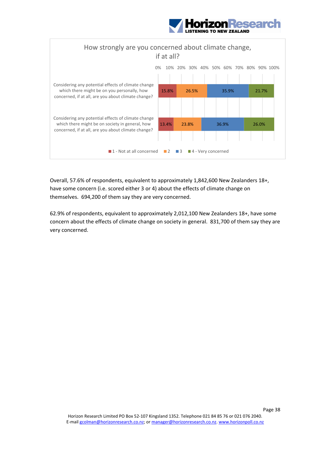



Overall, 57.6% of respondents, equivalent to approximately 1,842,600 New Zealanders 18+, have some concern (i.e. scored either 3 or 4) about the effects of climate change on themselves. 694,200 of them say they are very concerned.

62.9% of respondents, equivalent to approximately 2,012,100 New Zealanders 18+, have some concern about the effects of climate change on society in general. 831,700 of them say they are very concerned.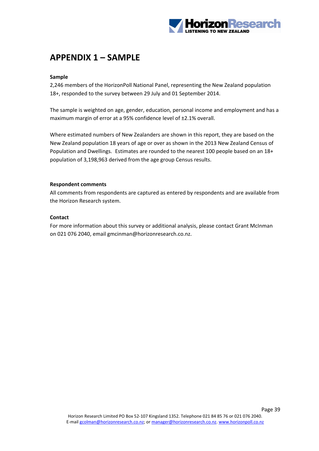

## **APPENDIX 1 – SAMPLE**

#### **Sample**

2,246 members of the HorizonPoll National Panel, representing the New Zealand population 18+, responded to the survey between 29 July and 01 September 2014.

The sample is weighted on age, gender, education, personal income and employment and has a maximum margin of error at a 95% confidence level of ±2.1% overall.

Where estimated numbers of New Zealanders are shown in this report, they are based on the New Zealand population 18 years of age or over as shown in the 2013 New Zealand Census of Population and Dwellings. Estimates are rounded to the nearest 100 people based on an 18+ population of 3,198,963 derived from the age group Census results.

#### **Respondent comments**

All comments from respondents are captured as entered by respondents and are available from the Horizon Research system.

#### **Contact**

For more information about this survey or additional analysis, please contact Grant McInman on 021 076 2040, email gmcinman@horizonresearch.co.nz.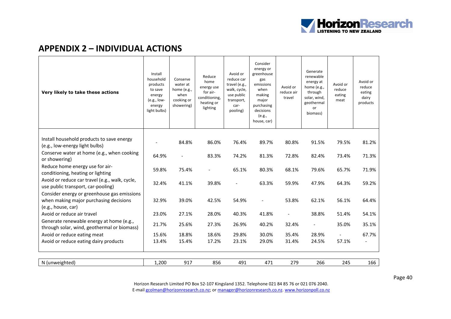

## **APPENDIX 2 – INDIVIDUAL ACTIONS**

| Very likely to take these actions                                                                           | Install<br>household<br>products<br>to save<br>energy<br>$(e.g., low-$<br>energy<br>light bulbs) | Conserve<br>water at<br>home (e.g.,<br>when<br>cooking or<br>showering) | Reduce<br>home<br>energy use<br>for air-<br>conditioning,<br>heating or<br>lighting | Avoid or<br>reduce car<br>travel (e.g.,<br>walk, cycle,<br>use public<br>transport,<br>car-<br>pooling) | Consider<br>energy or<br>greenhouse<br>gas<br>emissions<br>when<br>making<br>major<br>purchasing<br>decisions<br>(e.g.,<br>house, car) | Avoid or<br>reduce air<br>travel | Generate<br>renewable<br>energy at<br>home (e.g.,<br>through<br>solar, wind,<br>geothermal<br>or<br>biomass) | Avoid or<br>reduce<br>eating<br>meat | Avoid or<br>reduce<br>eating<br>dairy<br>products |
|-------------------------------------------------------------------------------------------------------------|--------------------------------------------------------------------------------------------------|-------------------------------------------------------------------------|-------------------------------------------------------------------------------------|---------------------------------------------------------------------------------------------------------|----------------------------------------------------------------------------------------------------------------------------------------|----------------------------------|--------------------------------------------------------------------------------------------------------------|--------------------------------------|---------------------------------------------------|
|                                                                                                             |                                                                                                  |                                                                         |                                                                                     |                                                                                                         |                                                                                                                                        |                                  |                                                                                                              |                                      |                                                   |
| Install household products to save energy<br>(e.g., low-energy light bulbs)                                 |                                                                                                  | 84.8%                                                                   | 86.0%                                                                               | 76.4%                                                                                                   | 89.7%                                                                                                                                  | 80.8%                            | 91.5%                                                                                                        | 79.5%                                | 81.2%                                             |
| Conserve water at home (e.g., when cooking<br>or showering)                                                 | 64.9%                                                                                            |                                                                         | 83.3%                                                                               | 74.2%                                                                                                   | 81.3%                                                                                                                                  | 72.8%                            | 82.4%                                                                                                        | 73.4%                                | 71.3%                                             |
| Reduce home energy use for air-<br>conditioning, heating or lighting                                        | 59.8%                                                                                            | 75.4%                                                                   | $\overline{\phantom{a}}$                                                            | 65.1%                                                                                                   | 80.3%                                                                                                                                  | 68.1%                            | 79.6%                                                                                                        | 65.7%                                | 71.9%                                             |
| Avoid or reduce car travel (e.g., walk, cycle,<br>use public transport, car-pooling)                        | 32.4%                                                                                            | 41.1%                                                                   | 39.8%                                                                               |                                                                                                         | 63.3%                                                                                                                                  | 59.9%                            | 47.9%                                                                                                        | 64.3%                                | 59.2%                                             |
| Consider energy or greenhouse gas emissions<br>when making major purchasing decisions<br>(e.g., house, car) | 32.9%                                                                                            | 39.0%                                                                   | 42.5%                                                                               | 54.9%                                                                                                   |                                                                                                                                        | 53.8%                            | 62.1%                                                                                                        | 56.1%                                | 64.4%                                             |
| Avoid or reduce air travel                                                                                  | 23.0%                                                                                            | 27.1%                                                                   | 28.0%                                                                               | 40.3%                                                                                                   | 41.8%                                                                                                                                  |                                  | 38.8%                                                                                                        | 51.4%                                | 54.1%                                             |
| Generate renewable energy at home (e.g.,<br>through solar, wind, geothermal or biomass)                     | 21.7%                                                                                            | 25.6%                                                                   | 27.3%                                                                               | 26.9%                                                                                                   | 40.2%                                                                                                                                  | 32.4%                            |                                                                                                              | 35.0%                                | 35.1%                                             |
| Avoid or reduce eating meat                                                                                 | 15.6%                                                                                            | 18.8%                                                                   | 18.6%                                                                               | 29.8%                                                                                                   | 30.0%                                                                                                                                  | 35.4%                            | 28.9%                                                                                                        | $\overline{\phantom{a}}$             | 67.7%                                             |
| Avoid or reduce eating dairy products                                                                       | 13.4%                                                                                            | 15.4%                                                                   | 17.2%                                                                               | 23.1%                                                                                                   | 29.0%                                                                                                                                  | 31.4%                            | 24.5%                                                                                                        | 57.1%                                |                                                   |
|                                                                                                             |                                                                                                  |                                                                         |                                                                                     |                                                                                                         |                                                                                                                                        |                                  |                                                                                                              |                                      |                                                   |
| N (unweighted)                                                                                              | 1,200                                                                                            | 917                                                                     | 856                                                                                 | 491                                                                                                     | 471                                                                                                                                    | 279                              | 266                                                                                                          | 245                                  | 166                                               |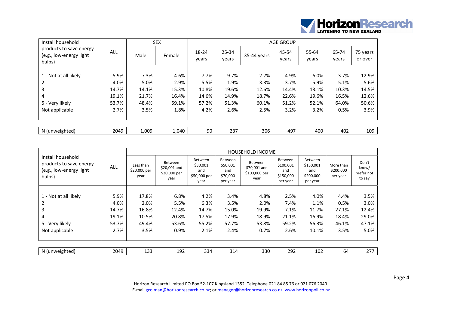

| Install household                                            |       |       | SEX    | <b>AGE GROUP</b> |                    |             |                |                |                |                     |  |
|--------------------------------------------------------------|-------|-------|--------|------------------|--------------------|-------------|----------------|----------------|----------------|---------------------|--|
| products to save energy<br>(e.g., low-energy light<br>bulbs) | ALL   | Male  | Female | 18-24<br>vears   | $25 - 34$<br>vears | 35-44 years | 45-54<br>years | 55-64<br>years | 65-74<br>years | 75 years<br>or over |  |
|                                                              |       |       |        |                  |                    |             |                |                |                |                     |  |
| 1 - Not at all likely                                        | 5.9%  | 7.3%  | 4.6%   | 7.7%             | 9.7%               | 2.7%        | 4.9%           | 6.0%           | 3.7%           | 12.9%               |  |
| 2                                                            | 4.0%  | 5.0%  | 2.9%   | 5.5%             | 1.9%               | 3.3%        | 3.7%           | 5.9%           | 5.1%           | 5.6%                |  |
| 3                                                            | 14.7% | 14.1% | 15.3%  | 10.8%            | 19.6%              | 12.6%       | 14.4%          | 13.1%          | 10.3%          | 14.5%               |  |
| 4                                                            | 19.1% | 21.7% | 16.4%  | 14.6%            | 14.9%              | 18.7%       | 22.6%          | 19.6%          | 16.5%          | 12.6%               |  |
| 5 - Very likely                                              | 53.7% | 48.4% | 59.1%  | 57.2%            | 51.3%              | 60.1%       | 51.2%          | 52.1%          | 64.0%          | 50.6%               |  |
| Not applicable                                               | 2.7%  | 3.5%  | 1.8%   | 4.2%             | 2.6%               | 2.5%        | 3.2%           | 3.2%           | 0.5%           | 3.9%                |  |
|                                                              |       |       |        |                  |                    |             |                |                |                |                     |  |
| N (unweighted)                                               | 2049  | 1,009 | 1,040  | 90               | 237                | 306         | 497            | 400            | 402            | 109                 |  |

|                                                                                   |       |                                   | <b>HOUSEHOLD INCOME</b>                         |                                                    |                                                           |                                                         |                                                      |                                                      |                                    |                                        |  |  |
|-----------------------------------------------------------------------------------|-------|-----------------------------------|-------------------------------------------------|----------------------------------------------------|-----------------------------------------------------------|---------------------------------------------------------|------------------------------------------------------|------------------------------------------------------|------------------------------------|----------------------------------------|--|--|
| Install household<br>products to save energy<br>(e.g., low-energy light<br>bulbs) | ALL   | Less than<br>\$20,000 per<br>year | Between<br>\$20,001 and<br>\$30,000 per<br>year | Between<br>\$30,001<br>and<br>\$50,000 per<br>year | <b>Between</b><br>\$50,001<br>and<br>\$70,000<br>per year | <b>Between</b><br>\$70,001 and<br>\$100,000 per<br>year | Between<br>\$100,001<br>and<br>\$150,000<br>per year | Between<br>\$150,001<br>and<br>\$200,000<br>per year | More than<br>\$200,000<br>per year | Don't<br>know/<br>prefer not<br>to say |  |  |
|                                                                                   |       |                                   |                                                 |                                                    |                                                           |                                                         |                                                      |                                                      |                                    |                                        |  |  |
| 1 - Not at all likely                                                             | 5.9%  | 17.8%                             | 6.8%                                            | 4.2%                                               | 3.4%                                                      | 4.8%                                                    | 2.5%                                                 | 4.0%                                                 | 4.4%                               | 3.5%                                   |  |  |
| 2                                                                                 | 4.0%  | 2.0%                              | 5.5%                                            | 6.3%                                               | 3.5%                                                      | 2.0%                                                    | 7.4%                                                 | 1.1%                                                 | 0.5%                               | 3.0%                                   |  |  |
| 3                                                                                 | 14.7% | 16.8%                             | 12.4%                                           | 14.7%                                              | 15.0%                                                     | 19.9%                                                   | 7.1%                                                 | 11.7%                                                | 27.1%                              | 12.4%                                  |  |  |
| 4                                                                                 | 19.1% | 10.5%                             | 20.8%                                           | 17.5%                                              | 17.9%                                                     | 18.9%                                                   | 21.1%                                                | 16.9%                                                | 18.4%                              | 29.0%                                  |  |  |
| 5 - Very likely                                                                   | 53.7% | 49.4%                             | 53.6%                                           | 55.2%                                              | 57.7%                                                     | 53.8%                                                   | 59.2%                                                | 56.3%                                                | 46.1%                              | 47.1%                                  |  |  |
| Not applicable                                                                    | 2.7%  | 3.5%                              | 0.9%                                            | 2.1%                                               | 2.4%                                                      | 0.7%                                                    | 2.6%                                                 | 10.1%                                                | 3.5%                               | 5.0%                                   |  |  |
|                                                                                   |       |                                   |                                                 |                                                    |                                                           |                                                         |                                                      |                                                      |                                    |                                        |  |  |
| N (unweighted)                                                                    | 2049  | 133                               | 192                                             | 334                                                | 314                                                       | 330                                                     | 292                                                  | 102                                                  | 64                                 | 277                                    |  |  |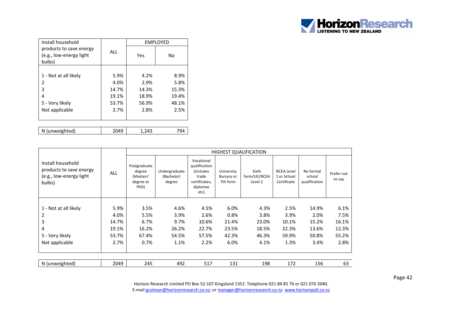

| Install household                                            |            | <b>EMPLOYED</b> |       |  |  |
|--------------------------------------------------------------|------------|-----------------|-------|--|--|
| products to save energy<br>(e.g., low-energy light<br>bulbs) | <b>ALL</b> | Yes             | No    |  |  |
|                                                              |            |                 |       |  |  |
| 1 - Not at all likely                                        | 5.9%       | 4.2%            | 8.9%  |  |  |
| 2                                                            | 4.0%       | 2.9%            | 5.8%  |  |  |
| 3                                                            | 14.7%      | 14.3%           | 15.3% |  |  |
| 4                                                            | 19.1%      | 18.9%           | 19.4% |  |  |
| 5 - Very likely                                              | 53.7%      | 56.9%           | 48.1% |  |  |
| Not applicable                                               | 2.7%       | 2.8%            | 2.5%  |  |  |
|                                                              |            |                 |       |  |  |
|                                                              |            |                 |       |  |  |
| N (unweighted)                                               | 2049       | 1,243           | 794   |  |  |

|                                                                                   |            |                                                          | <b>HIGHEST QUALIFICATION</b>          |                                                                                        |                                      |                                  |                                                 |                                      |                      |  |  |  |
|-----------------------------------------------------------------------------------|------------|----------------------------------------------------------|---------------------------------------|----------------------------------------------------------------------------------------|--------------------------------------|----------------------------------|-------------------------------------------------|--------------------------------------|----------------------|--|--|--|
| Install household<br>products to save energy<br>(e.g., low-energy light<br>bulbs) | <b>ALL</b> | Postgraduate<br>degree<br>(Masters'<br>degree or<br>PhD) | Undergraduate<br>(Bachelor)<br>degree | Vocational<br>qualification<br>(includes<br>trade<br>certificates,<br>diplomas<br>etc) | University<br>Bursary or<br>7th form | Sixth<br>form/UE/NCEA<br>Level 2 | <b>NCEA Level</b><br>1 or School<br>Certificate | No formal<br>school<br>qualification | Prefer not<br>to say |  |  |  |
|                                                                                   |            |                                                          |                                       |                                                                                        |                                      |                                  |                                                 |                                      |                      |  |  |  |
| 1 - Not at all likely                                                             | 5.9%       | 3.5%                                                     | 4.6%                                  | 4.5%                                                                                   | 6.0%                                 | 4.3%                             | 2.5%                                            | 14.9%                                | 6.1%                 |  |  |  |
| 2                                                                                 | 4.0%       | 5.5%                                                     | 3.9%                                  | 2.6%                                                                                   | 0.8%                                 | 3.8%                             | 3.9%                                            | 2.0%                                 | 7.5%                 |  |  |  |
| 3                                                                                 | 14.7%      | 6.7%                                                     | 9.7%                                  | 10.6%                                                                                  | 21.4%                                | 23.0%                            | 10.1%                                           | 15.2%                                | 16.1%                |  |  |  |
| 4                                                                                 | 19.1%      | 16.2%                                                    | 26.2%                                 | 22.7%                                                                                  | 23.5%                                | 18.5%                            | 22.3%                                           | 13.6%                                | 12.3%                |  |  |  |
| 5 - Very likely                                                                   | 53.7%      | 67.4%                                                    | 54.5%                                 | 57.5%                                                                                  | 42.3%                                | 46.3%                            | 59.9%                                           | 50.8%                                | 55.2%                |  |  |  |
| Not applicable                                                                    | 2.7%       | 0.7%                                                     | 1.1%                                  | 2.2%                                                                                   | 6.0%                                 | 4.1%                             | 1.3%                                            | 3.4%                                 | 2.8%                 |  |  |  |
|                                                                                   |            |                                                          |                                       |                                                                                        |                                      |                                  |                                                 |                                      |                      |  |  |  |
| N (unweighted)                                                                    | 2049       | 245                                                      | 492                                   | 517                                                                                    | 131                                  | 198                              | 172                                             | 156                                  | 63                   |  |  |  |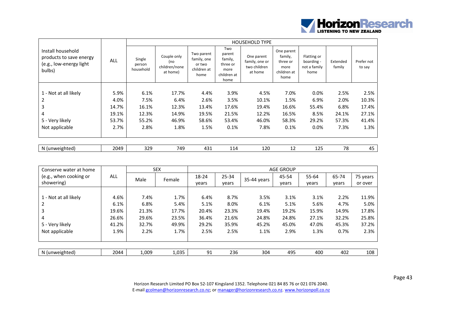

|                                                                                   |       |                               |                                                 |                                                            |                                                                     | <b>HOUSEHOLD TYPE</b>                                   |                                                                  |                                                   |                    |                      |
|-----------------------------------------------------------------------------------|-------|-------------------------------|-------------------------------------------------|------------------------------------------------------------|---------------------------------------------------------------------|---------------------------------------------------------|------------------------------------------------------------------|---------------------------------------------------|--------------------|----------------------|
| Install household<br>products to save energy<br>(e.g., low-energy light<br>bulbs) | ALL   | Single<br>person<br>household | Couple only<br>(no<br>children/none<br>at home) | Two parent<br>family, one<br>or two<br>children at<br>home | Two<br>parent<br>family,<br>three or<br>more<br>children at<br>home | One parent<br>family, one or<br>two children<br>at home | One parent<br>family,<br>three or<br>more<br>children at<br>home | Flatting or<br>boarding -<br>not a family<br>home | Extended<br>family | Prefer not<br>to say |
|                                                                                   |       |                               |                                                 |                                                            |                                                                     |                                                         |                                                                  |                                                   |                    |                      |
| 1 - Not at all likely                                                             | 5.9%  | 6.1%                          | 17.7%                                           | 4.4%                                                       | 3.9%                                                                | 4.5%                                                    | 7.0%                                                             | $0.0\%$                                           | 2.5%               | 2.5%                 |
| 2                                                                                 | 4.0%  | 7.5%                          | 6.4%                                            | 2.6%                                                       | 3.5%                                                                | 10.1%                                                   | 1.5%                                                             | 6.9%                                              | 2.0%               | 10.3%                |
| 3                                                                                 | 14.7% | 16.1%                         | 12.3%                                           | 13.4%                                                      | 17.6%                                                               | 19.4%                                                   | 16.6%                                                            | 55.4%                                             | 6.8%               | 17.4%                |
| 4                                                                                 | 19.1% | 12.3%                         | 14.9%                                           | 19.5%                                                      | 21.5%                                                               | 12.2%                                                   | 16.5%                                                            | 8.5%                                              | 24.1%              | 27.1%                |
| 5 - Very likely                                                                   | 53.7% | 55.2%                         | 46.9%                                           | 58.6%                                                      | 53.4%                                                               | 46.0%                                                   | 58.3%                                                            | 29.2%                                             | 57.3%              | 41.4%                |
| Not applicable                                                                    | 2.7%  | 2.8%                          | 1.8%                                            | 1.5%                                                       | 0.1%                                                                | 7.8%                                                    | 0.1%                                                             | 0.0%                                              | 7.3%               | 1.3%                 |
| N (unweighted)                                                                    | 2049  | 329                           | 749                                             | 431                                                        | 114                                                                 | 120                                                     | 12                                                               | 125                                               | 78                 | 45                   |

| Conserve water at home |            | <b>SEX</b> |        | <b>AGE GROUP</b> |           |             |       |       |       |          |  |
|------------------------|------------|------------|--------|------------------|-----------|-------------|-------|-------|-------|----------|--|
| (e.g., when cooking or | <b>ALL</b> | Male       | Female | 18-24            | $25 - 34$ | 35-44 years | 45-54 | 55-64 | 65-74 | 75 years |  |
| showering)             |            |            |        | vears            | vears     |             | years | years | years | or over  |  |
|                        |            |            |        |                  |           |             |       |       |       |          |  |
| 1 - Not at all likely  | 4.6%       | 7.4%       | 1.7%   | 6.4%             | 8.7%      | 3.5%        | 3.1%  | 3.1%  | 2.2%  | 11.9%    |  |
|                        | 6.1%       | 6.8%       | 5.4%   | 5.1%             | 8.0%      | 6.1%        | 5.1%  | 5.6%  | 4.7%  | 5.0%     |  |
|                        | 19.6%      | 21.3%      | 17.7%  | 20.4%            | 23.3%     | 19.4%       | 19.2% | 15.9% | 14.9% | 17.8%    |  |
| 4                      | 26.6%      | 29.6%      | 23.5%  | 36.4%            | 21.6%     | 24.8%       | 24.8% | 27.1% | 32.2% | 25.8%    |  |
| 5 - Very likely        | 41.2%      | 32.7%      | 49.9%  | 29.2%            | 35.9%     | 45.2%       | 45.0% | 47.0% | 45.3% | 37.2%    |  |
| Not applicable         | 1.9%       | 2.2%       | 1.7%   | 2.5%             | 2.5%      | 1.1%        | 2.9%  | 1.3%  | 0.7%  | 2.3%     |  |
|                        |            |            |        |                  |           |             |       |       |       |          |  |
|                        |            |            |        |                  |           |             |       |       |       |          |  |
| N (unweighted)         | 2044       | 1,009      | 1,035  | 91               | 236       | 304         | 495   | 400   | 402   | 108      |  |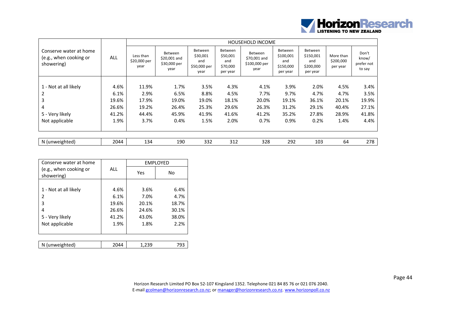

|                                                                |       |                                   |                                                 |                                                    |                                                    | <b>HOUSEHOLD INCOME</b>                          |                                                             |                                                             |                                    |                                        |
|----------------------------------------------------------------|-------|-----------------------------------|-------------------------------------------------|----------------------------------------------------|----------------------------------------------------|--------------------------------------------------|-------------------------------------------------------------|-------------------------------------------------------------|------------------------------------|----------------------------------------|
| Conserve water at home<br>(e.g., when cooking or<br>showering) | ALL   | Less than<br>\$20,000 per<br>year | Between<br>\$20,001 and<br>\$30,000 per<br>year | Between<br>\$30,001<br>and<br>\$50,000 per<br>year | Between<br>\$50,001<br>and<br>\$70,000<br>per year | Between<br>\$70,001 and<br>\$100,000 per<br>year | <b>Between</b><br>\$100,001<br>and<br>\$150,000<br>per year | <b>Between</b><br>\$150,001<br>and<br>\$200,000<br>per year | More than<br>\$200,000<br>per year | Don't<br>know/<br>prefer not<br>to say |
|                                                                |       |                                   |                                                 |                                                    |                                                    |                                                  |                                                             |                                                             |                                    |                                        |
| 1 - Not at all likely                                          | 4.6%  | 11.9%                             | 1.7%                                            | 3.5%                                               | 4.3%                                               | 4.1%                                             | 3.9%                                                        | 2.0%                                                        | 4.5%                               | 3.4%                                   |
|                                                                | 6.1%  | 2.9%                              | 6.5%                                            | 8.8%                                               | 4.5%                                               | 7.7%                                             | 9.7%                                                        | 4.7%                                                        | 4.7%                               | 3.5%                                   |
| 3                                                              | 19.6% | 17.9%                             | 19.0%                                           | 19.0%                                              | 18.1%                                              | 20.0%                                            | 19.1%                                                       | 36.1%                                                       | 20.1%                              | 19.9%                                  |
| 4                                                              | 26.6% | 19.2%                             | 26.4%                                           | 25.3%                                              | 29.6%                                              | 26.3%                                            | 31.2%                                                       | 29.1%                                                       | 40.4%                              | 27.1%                                  |
| 5 - Very likely                                                | 41.2% | 44.4%                             | 45.9%                                           | 41.9%                                              | 41.6%                                              | 41.2%                                            | 35.2%                                                       | 27.8%                                                       | 28.9%                              | 41.8%                                  |
| Not applicable                                                 | 1.9%  | 3.7%                              | 0.4%                                            | 1.5%                                               | 2.0%                                               | 0.7%                                             | 0.9%                                                        | 0.2%                                                        | 1.4%                               | 4.4%                                   |
|                                                                |       |                                   |                                                 |                                                    |                                                    |                                                  |                                                             |                                                             |                                    |                                        |
| N (unweighted)                                                 | 2044  | 134                               | 190                                             | 332                                                | 312                                                | 328                                              | 292                                                         | 103                                                         | 64                                 | 278                                    |

| Conserve water at home               |       |       | <b>EMPLOYED</b> |
|--------------------------------------|-------|-------|-----------------|
| (e.g., when cooking or<br>showering) | ALL   | Yes   | No              |
|                                      |       |       |                 |
| 1 - Not at all likely                | 4.6%  | 3.6%  | 6.4%            |
| 2                                    | 6.1%  | 7.0%  | 4.7%            |
| 3                                    | 19.6% | 20.1% | 18.7%           |
| 4                                    | 26.6% | 24.6% | 30.1%           |
| 5 - Very likely                      | 41.2% | 43.0% | 38.0%           |
| Not applicable                       | 1.9%  | 1.8%  | 2.2%            |
|                                      |       |       |                 |
|                                      |       |       |                 |
| N (unweighted)                       | 2044  | 1,239 | 793             |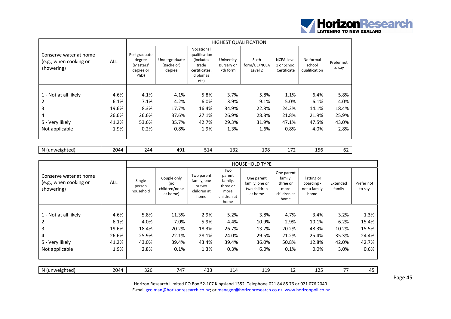

|                                                                |            |                                                          |                                       |                                                                                                |                                             | <b>HIGHEST QUALIFICATION</b>     |                                                 |                                      |                      |
|----------------------------------------------------------------|------------|----------------------------------------------------------|---------------------------------------|------------------------------------------------------------------------------------------------|---------------------------------------------|----------------------------------|-------------------------------------------------|--------------------------------------|----------------------|
| Conserve water at home<br>(e.g., when cooking or<br>showering) | <b>ALL</b> | Postgraduate<br>degree<br>(Masters'<br>degree or<br>PhD) | Undergraduate<br>(Bachelor)<br>degree | Vocational<br>qualification<br><i>(includes)</i><br>trade<br>certificates,<br>diplomas<br>etc) | University<br><b>Bursary or</b><br>7th form | Sixth<br>form/UE/NCEA<br>Level 2 | <b>NCEA Level</b><br>1 or School<br>Certificate | No formal<br>school<br>qualification | Prefer not<br>to say |
|                                                                |            |                                                          |                                       |                                                                                                |                                             |                                  |                                                 |                                      |                      |
| 1 - Not at all likely                                          | 4.6%       | 4.1%                                                     | 4.1%                                  | 5.8%                                                                                           | 3.7%                                        | 5.8%                             | 1.1%                                            | 6.4%                                 | 5.8%                 |
| 2                                                              | 6.1%       | 7.1%                                                     | 4.2%                                  | 6.0%                                                                                           | 3.9%                                        | 9.1%                             | 5.0%                                            | 6.1%                                 | 4.0%                 |
| 3                                                              | 19.6%      | 8.3%                                                     | 17.7%                                 | 16.4%                                                                                          | 34.9%                                       | 22.8%                            | 24.2%                                           | 14.1%                                | 18.4%                |
| 4                                                              | 26.6%      | 26.6%                                                    | 37.6%                                 | 27.1%                                                                                          | 26.9%                                       | 28.8%                            | 21.8%                                           | 21.9%                                | 25.9%                |
| 5 - Very likely                                                | 41.2%      | 53.6%                                                    | 35.7%                                 | 42.7%                                                                                          | 29.3%                                       | 31.9%                            | 47.1%                                           | 47.5%                                | 43.0%                |
| Not applicable                                                 | 1.9%       | 0.2%                                                     | 0.8%                                  | 1.9%                                                                                           | 1.3%                                        | 1.6%                             | 0.8%                                            | 4.0%                                 | 2.8%                 |
|                                                                |            |                                                          |                                       |                                                                                                |                                             |                                  |                                                 |                                      |                      |

| unweighted.<br>- N /<br>.cu.<br>. . | $\cap$ $\Delta$<br>- | $\overline{\phantom{a}}$ | ^0∩<br>$\sim$ $\sim$ $\sim$ $\sim$ $\sim$ $\sim$ | ັ | - -<br>-- | 198 | $-$<br>-<br>- - - - | ا ال⊾ | ັບ∠ |
|-------------------------------------|----------------------|--------------------------|--------------------------------------------------|---|-----------|-----|---------------------|-------|-----|
|-------------------------------------|----------------------|--------------------------|--------------------------------------------------|---|-----------|-----|---------------------|-------|-----|

|                                                                |            |                               |                                                 |                                                            |                                                                     | <b>HOUSEHOLD TYPE</b>                                   |                                                                  |                                                   |                    |                      |
|----------------------------------------------------------------|------------|-------------------------------|-------------------------------------------------|------------------------------------------------------------|---------------------------------------------------------------------|---------------------------------------------------------|------------------------------------------------------------------|---------------------------------------------------|--------------------|----------------------|
| Conserve water at home<br>(e.g., when cooking or<br>showering) | <b>ALL</b> | Single<br>person<br>household | Couple only<br>(no<br>children/none<br>at home) | Two parent<br>family, one<br>or two<br>children at<br>home | Two<br>parent<br>family,<br>three or<br>more<br>children at<br>home | One parent<br>family, one or<br>two children<br>at home | One parent<br>family,<br>three or<br>more<br>children at<br>home | Flatting or<br>boarding -<br>not a family<br>home | Extended<br>family | Prefer not<br>to say |
|                                                                |            |                               |                                                 |                                                            |                                                                     |                                                         |                                                                  |                                                   |                    |                      |
| 1 - Not at all likely                                          | 4.6%       | 5.8%                          | 11.3%                                           | 2.9%                                                       | 5.2%                                                                | 3.8%                                                    | 4.7%                                                             | 3.4%                                              | 3.2%               | 1.3%                 |
|                                                                | 6.1%       | 4.0%                          | 7.0%                                            | 5.9%                                                       | 4.4%                                                                | 10.9%                                                   | 2.9%                                                             | 10.1%                                             | 6.2%               | 15.4%                |
| 3                                                              | 19.6%      | 18.4%                         | 20.2%                                           | 18.3%                                                      | 26.7%                                                               | 13.7%                                                   | 20.2%                                                            | 48.3%                                             | 10.2%              | 15.5%                |
| 4                                                              | 26.6%      | 25.9%                         | 22.1%                                           | 28.1%                                                      | 24.0%                                                               | 29.5%                                                   | 21.2%                                                            | 25.4%                                             | 35.3%              | 24.4%                |
| 5 - Very likely                                                | 41.2%      | 43.0%                         | 39.4%                                           | 43.4%                                                      | 39.4%                                                               | 36.0%                                                   | 50.8%                                                            | 12.8%                                             | 42.0%              | 42.7%                |
| Not applicable                                                 | 1.9%       | 2.8%                          | 0.1%                                            | 1.3%                                                       | 0.3%                                                                | 6.0%                                                    | 0.1%                                                             | 0.0%                                              | 3.0%               | 0.6%                 |
|                                                                |            |                               |                                                 |                                                            |                                                                     |                                                         |                                                                  |                                                   |                    |                      |
| N (unweighted)                                                 | 2044       | 326                           | 747                                             | 433                                                        | 114                                                                 | 119                                                     | 12                                                               | 125                                               | 77                 | 45                   |

Page 45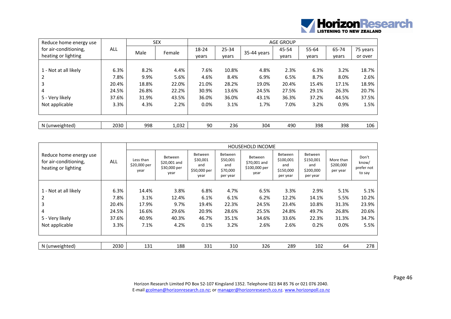

| Reduce home energy use |       |       | <b>SEX</b> |       |           |             | <b>AGE GROUP</b> |       |       |          |
|------------------------|-------|-------|------------|-------|-----------|-------------|------------------|-------|-------|----------|
| for air-conditioning,  | ALL   | Male  | Female     | 18-24 | $25 - 34$ | 35-44 years | 45-54            | 55-64 | 65-74 | 75 years |
| heating or lighting    |       |       |            | vears | vears     |             | years            | years | years | or over  |
|                        |       |       |            |       |           |             |                  |       |       |          |
| 1 - Not at all likely  | 6.3%  | 8.2%  | 4.4%       | 7.6%  | 10.8%     | 4.8%        | 2.3%             | 6.3%  | 3.2%  | 18.7%    |
| 2                      | 7.8%  | 9.9%  | 5.6%       | 4.6%  | 8.4%      | 6.9%        | 6.5%             | 8.7%  | 8.0%  | 2.6%     |
| 3                      | 20.4% | 18.8% | 22.0%      | 21.0% | 28.2%     | 19.0%       | 20.4%            | 15.4% | 17.1% | 18.9%    |
| 4                      | 24.5% | 26.8% | 22.2%      | 30.9% | 13.6%     | 24.5%       | 27.5%            | 29.1% | 26.3% | 20.7%    |
| 5 - Very likely        | 37.6% | 31.9% | 43.5%      | 36.0% | 36.0%     | 43.1%       | 36.3%            | 37.2% | 44.5% | 37.5%    |
| Not applicable         | 3.3%  | 4.3%  | 2.2%       | 0.0%  | 3.1%      | 1.7%        | 7.0%             | 3.2%  | 0.9%  | 1.5%     |
|                        |       |       |            |       |           |             |                  |       |       |          |
|                        |       |       |            |       |           |             |                  |       |       |          |
| N (unweighted)         | 2030  | 998   | 1,032      | 90    | 236       | 304         | 490              | 398   | 398   | 106      |

|                                                                        |       |                                   |                                                 |                                                    |                                                           | <b>HOUSEHOLD INCOME</b>                                 |                                                      |                                                      |                                    |                                        |
|------------------------------------------------------------------------|-------|-----------------------------------|-------------------------------------------------|----------------------------------------------------|-----------------------------------------------------------|---------------------------------------------------------|------------------------------------------------------|------------------------------------------------------|------------------------------------|----------------------------------------|
| Reduce home energy use<br>for air-conditioning,<br>heating or lighting | ALL   | Less than<br>\$20,000 per<br>year | Between<br>\$20,001 and<br>\$30,000 per<br>year | Between<br>\$30,001<br>and<br>\$50,000 per<br>year | <b>Between</b><br>\$50,001<br>and<br>\$70,000<br>per year | <b>Between</b><br>\$70,001 and<br>\$100,000 per<br>year | Between<br>\$100,001<br>and<br>\$150,000<br>per year | Between<br>\$150,001<br>and<br>\$200,000<br>per year | More than<br>\$200,000<br>per year | Don't<br>know/<br>prefer not<br>to say |
|                                                                        |       |                                   |                                                 |                                                    |                                                           |                                                         |                                                      |                                                      |                                    |                                        |
| 1 - Not at all likely                                                  | 6.3%  | 14.4%                             | 3.8%                                            | 6.8%                                               | 4.7%                                                      | 6.5%                                                    | 3.3%                                                 | 2.9%                                                 | 5.1%                               | 5.1%                                   |
| 2                                                                      | 7.8%  | 3.1%                              | 12.4%                                           | 6.1%                                               | 6.1%                                                      | 6.2%                                                    | 12.2%                                                | 14.1%                                                | 5.5%                               | 10.2%                                  |
| 3                                                                      | 20.4% | 17.9%                             | 9.7%                                            | 19.4%                                              | 22.3%                                                     | 24.5%                                                   | 23.4%                                                | 10.8%                                                | 31.3%                              | 23.9%                                  |
| 4                                                                      | 24.5% | 16.6%                             | 29.6%                                           | 20.9%                                              | 28.6%                                                     | 25.5%                                                   | 24.8%                                                | 49.7%                                                | 26.8%                              | 20.6%                                  |
| 5 - Very likely                                                        | 37.6% | 40.9%                             | 40.3%                                           | 46.7%                                              | 35.1%                                                     | 34.6%                                                   | 33.6%                                                | 22.3%                                                | 31.3%                              | 34.7%                                  |
| Not applicable                                                         | 3.3%  | 7.1%                              | 4.2%                                            | 0.1%                                               | 3.2%                                                      | 2.6%                                                    | 2.6%                                                 | 0.2%                                                 | 0.0%                               | 5.5%                                   |
|                                                                        |       |                                   |                                                 |                                                    |                                                           |                                                         |                                                      |                                                      |                                    |                                        |
| N (unweighted)                                                         | 2030  | 131                               | 188                                             | 331                                                | 310                                                       | 326                                                     | 289                                                  | 102                                                  | 64                                 | 278                                    |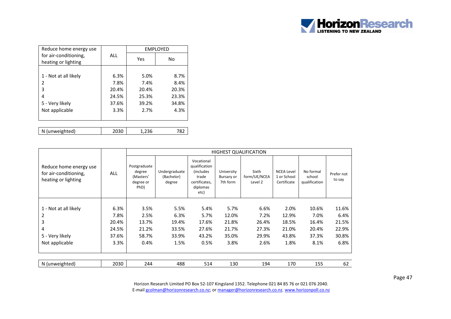

| Reduce home energy use                       |                |                | <b>EMPLOYED</b> |
|----------------------------------------------|----------------|----------------|-----------------|
| for air-conditioning,<br>heating or lighting | ALL            | Yes            | No              |
| 1 - Not at all likely<br>2                   | 6.3%<br>7.8%   | 5.0%<br>7.4%   | 8.7%<br>8.4%    |
| 3<br>4                                       | 20.4%<br>24.5% | 20.4%<br>25.3% | 20.3%<br>23.3%  |
| 5 - Very likely                              | 37.6%          | 39.2%          | 34.8%           |
| Not applicable                               | 3.3%           | 2.7%           | 4.3%            |
|                                              |                |                |                 |
| N (unweighted)                               | 2030           | 1,236          | 782             |

|                                                                        |            |                                                          |                                       |                                                                                                |                                      | <b>HIGHEST QUALIFICATION</b>     |                                                 |                                      |                      |
|------------------------------------------------------------------------|------------|----------------------------------------------------------|---------------------------------------|------------------------------------------------------------------------------------------------|--------------------------------------|----------------------------------|-------------------------------------------------|--------------------------------------|----------------------|
| Reduce home energy use<br>for air-conditioning,<br>heating or lighting | <b>ALL</b> | Postgraduate<br>degree<br>(Masters'<br>degree or<br>PhD) | Undergraduate<br>(Bachelor)<br>degree | Vocational<br>qualification<br><i>(includes)</i><br>trade<br>certificates.<br>diplomas<br>etc) | University<br>Bursary or<br>7th form | Sixth<br>form/UE/NCEA<br>Level 2 | <b>NCEA Level</b><br>1 or School<br>Certificate | No formal<br>school<br>qualification | Prefer not<br>to say |
|                                                                        |            |                                                          |                                       |                                                                                                |                                      |                                  |                                                 |                                      |                      |
| 1 - Not at all likely                                                  | 6.3%       | 3.5%                                                     | 5.5%                                  | 5.4%                                                                                           | 5.7%                                 | 6.6%                             | 2.0%                                            | 10.6%                                | 11.6%                |
|                                                                        | 7.8%       | 2.5%                                                     | 6.3%                                  | 5.7%                                                                                           | 12.0%                                | 7.2%                             | 12.9%                                           | 7.0%                                 | 6.4%                 |
| 3                                                                      | 20.4%      | 13.7%                                                    | 19.4%                                 | 17.6%                                                                                          | 21.8%                                | 26.4%                            | 18.5%                                           | 16.4%                                | 21.5%                |
| 4                                                                      | 24.5%      | 21.2%                                                    | 33.5%                                 | 27.6%                                                                                          | 21.7%                                | 27.3%                            | 21.0%                                           | 20.4%                                | 22.9%                |
| 5 - Very likely                                                        | 37.6%      | 58.7%                                                    | 33.9%                                 | 43.2%                                                                                          | 35.0%                                | 29.9%                            | 43.8%                                           | 37.3%                                | 30.8%                |
| Not applicable                                                         | 3.3%       | 0.4%                                                     | 1.5%                                  | 0.5%                                                                                           | 3.8%                                 | 2.6%                             | 1.8%                                            | 8.1%                                 | 6.8%                 |
|                                                                        |            |                                                          |                                       |                                                                                                |                                      |                                  |                                                 |                                      |                      |
| N (unweighted)                                                         | 2030       | 244                                                      | 488                                   | 514                                                                                            | 130                                  | 194                              | 170                                             | 155                                  | 62                   |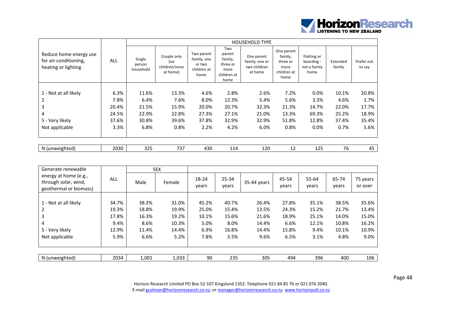

|                                                                        |            |                               |                                                 |                                                            |                                                                     | <b>HOUSEHOLD TYPE</b>                                   |                                                                  |                                                   |                    |                      |
|------------------------------------------------------------------------|------------|-------------------------------|-------------------------------------------------|------------------------------------------------------------|---------------------------------------------------------------------|---------------------------------------------------------|------------------------------------------------------------------|---------------------------------------------------|--------------------|----------------------|
| Reduce home energy use<br>for air-conditioning,<br>heating or lighting | <b>ALL</b> | Single<br>person<br>household | Couple only<br>(no<br>children/none<br>at home) | Two parent<br>family, one<br>or two<br>children at<br>home | Two<br>parent<br>family,<br>three or<br>more<br>children at<br>home | One parent<br>family, one or<br>two children<br>at home | One parent<br>family,<br>three or<br>more<br>children at<br>home | Flatting or<br>boarding -<br>not a family<br>home | Extended<br>family | Prefer not<br>to say |
|                                                                        |            |                               |                                                 |                                                            |                                                                     |                                                         |                                                                  |                                                   |                    |                      |
| 1 - Not at all likely                                                  | 6.3%       | 11.6%                         | 13.3%                                           | 4.6%                                                       | 2.8%                                                                | 2.6%                                                    | 7.2%                                                             | $0.0\%$                                           | 10.1%              | 20.8%                |
| 2                                                                      | 7.8%       | 6.4%                          | 7.6%                                            | 8.0%                                                       | 12.3%                                                               | 5.4%                                                    | 5.6%                                                             | 3.3%                                              | 4.6%               | 1.7%                 |
| 3                                                                      | 20.4%      | 21.5%                         | 15.9%                                           | 20.0%                                                      | 20.7%                                                               | 32.3%                                                   | 21.3%                                                            | 14.7%                                             | 22.0%              | 17.7%                |
| 4                                                                      | 24.5%      | 22.9%                         | 22.8%                                           | 27.3%                                                      | 27.1%                                                               | 21.0%                                                   | 13.3%                                                            | 69.3%                                             | 25.2%              | 18.9%                |
| 5 - Very likely                                                        | 37.6%      | 30.8%                         | 39.6%                                           | 37.8%                                                      | 32.9%                                                               | 32.9%                                                   | 51.8%                                                            | 12.8%                                             | 37.4%              | 35.4%                |
| Not applicable                                                         | 3.3%       | 6.8%                          | 0.8%                                            | 2.2%                                                       | 4.2%                                                                | 6.0%                                                    | 0.8%                                                             | 0.0%                                              | 0.7%               | 5.6%                 |
| N (unweighted)                                                         | 2030       | 325                           | 737                                             | 430                                                        | 114                                                                 | 120                                                     | 12                                                               | 125                                               | 76                 | 45                   |

| Generate renewable                                                      |       |       | <b>SEX</b> |                |                    |             |                |                |                |                     |
|-------------------------------------------------------------------------|-------|-------|------------|----------------|--------------------|-------------|----------------|----------------|----------------|---------------------|
| energy at home (e.g.,<br>through solar, wind,<br>geothermal or biomass) | ALL   | Male  | Female     | 18-24<br>years | $25 - 34$<br>years | 35-44 years | 45-54<br>years | 55-64<br>years | 65-74<br>years | 75 years<br>or over |
|                                                                         |       |       |            |                |                    |             |                |                |                |                     |
| 1 - Not at all likely                                                   | 34.7% | 38.3% | 31.0%      | 45.2%          | 40.7%              | 26.4%       | 27.8%          | 35.1%          | 38.5%          | 35.6%               |
| 2                                                                       | 19.3% | 18.8% | 19.9%      | 25.0%          | 15.4%              | 13.5%       | 24.3%          | 15.2%          | 21.7%          | 13.4%               |
| 3                                                                       | 17.8% | 16.3% | 19.2%      | 10.1%          | 15.6%              | 21.6%       | 18.9%          | 25.1%          | 14.0%          | 15.0%               |
| 4                                                                       | 9.4%  | 8.6%  | 10.3%      | 5.0%           | 8.0%               | 14.4%       | 6.6%           | 12.1%          | 10.8%          | 16.2%               |
| 5 - Very likely                                                         | 12.9% | 11.4% | 14.4%      | 6.9%           | 16.8%              | 14.4%       | 15.8%          | 9.4%           | 10.1%          | 10.9%               |
| Not applicable                                                          | 5.9%  | 6.6%  | 5.2%       | 7.8%           | 3.5%               | 9.6%        | 6.5%           | 3.1%           | 4.8%           | 9.0%                |
|                                                                         |       |       |            |                |                    |             |                |                |                |                     |
| N (unweighted)                                                          | 2034  | 1,001 | 1,033      | 90             | 235                | 305         | 494            | 396            | 400            | 106                 |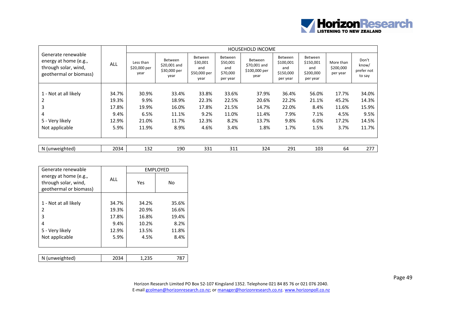

|                                                                                               |       |                                   |                                                 |                                                    |                                                           | HOUSEHOLD INCOME                                        |                                                             |                                                      |                                    |                                        |
|-----------------------------------------------------------------------------------------------|-------|-----------------------------------|-------------------------------------------------|----------------------------------------------------|-----------------------------------------------------------|---------------------------------------------------------|-------------------------------------------------------------|------------------------------------------------------|------------------------------------|----------------------------------------|
| Generate renewable<br>energy at home (e.g.,<br>through solar, wind,<br>geothermal or biomass) | ALL   | Less than<br>\$20,000 per<br>year | Between<br>\$20,001 and<br>\$30,000 per<br>year | Between<br>\$30,001<br>and<br>\$50,000 per<br>year | <b>Between</b><br>\$50,001<br>and<br>\$70,000<br>per year | <b>Between</b><br>\$70,001 and<br>\$100,000 per<br>year | <b>Between</b><br>\$100,001<br>and<br>\$150,000<br>per year | Between<br>\$150,001<br>and<br>\$200,000<br>per year | More than<br>\$200,000<br>per year | Don't<br>know/<br>prefer not<br>to say |
|                                                                                               |       |                                   |                                                 |                                                    |                                                           |                                                         |                                                             |                                                      |                                    |                                        |
| 1 - Not at all likely                                                                         | 34.7% | 30.9%                             | 33.4%                                           | 33.8%                                              | 33.6%                                                     | 37.9%                                                   | 36.4%                                                       | 56.0%                                                | 17.7%                              | 34.0%                                  |
| 2                                                                                             | 19.3% | 9.9%                              | 18.9%                                           | 22.3%                                              | 22.5%                                                     | 20.6%                                                   | 22.2%                                                       | 21.1%                                                | 45.2%                              | 14.3%                                  |
| 3                                                                                             | 17.8% | 19.9%                             | 16.0%                                           | 17.8%                                              | 21.5%                                                     | 14.7%                                                   | 22.0%                                                       | 8.4%                                                 | 11.6%                              | 15.9%                                  |
| 4                                                                                             | 9.4%  | 6.5%                              | 11.1%                                           | 9.2%                                               | 11.0%                                                     | 11.4%                                                   | 7.9%                                                        | 7.1%                                                 | 4.5%                               | 9.5%                                   |
| 5 - Very likely                                                                               | 12.9% | 21.0%                             | 11.7%                                           | 12.3%                                              | 8.2%                                                      | 13.7%                                                   | 9.8%                                                        | 6.0%                                                 | 17.2%                              | 14.5%                                  |
| Not applicable                                                                                | 5.9%  | 11.9%                             | 8.9%                                            | 4.6%                                               | 3.4%                                                      | 1.8%                                                    | 1.7%                                                        | 1.5%                                                 | 3.7%                               | 11.7%                                  |
|                                                                                               |       |                                   |                                                 |                                                    |                                                           |                                                         |                                                             |                                                      |                                    |                                        |
| N (unweighted)                                                                                | 2034  | 132                               | 190                                             | 331                                                | 311                                                       | 324                                                     | 291                                                         | 103                                                  | 64                                 | 277                                    |

| Generate renewable                                                      |       |       | <b>EMPLOYED</b> |
|-------------------------------------------------------------------------|-------|-------|-----------------|
| energy at home (e.g.,<br>through solar, wind,<br>geothermal or biomass) | ALL   | Yes   | No              |
|                                                                         |       |       |                 |
| 1 - Not at all likely                                                   | 34.7% | 34.2% | 35.6%           |
| 2                                                                       | 19.3% | 20.9% | 16.6%           |
| 3                                                                       | 17.8% | 16.8% | 19.4%           |
| 4                                                                       | 9.4%  | 10.2% | 8.2%            |
| 5 - Very likely                                                         | 12.9% | 13.5% | 11.8%           |
| Not applicable                                                          | 5.9%  | 4.5%  | 8.4%            |
|                                                                         |       |       |                 |
|                                                                         |       |       |                 |
| N (unweighted)                                                          | 2034  | 1,235 | 787             |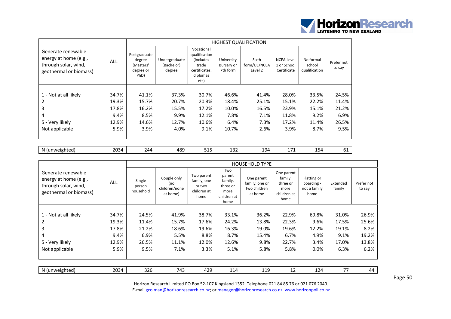

|                                                                                               |            |                                                          |                                       |                                                                                                |                                      | <b>HIGHEST QUALIFICATION</b>     |                                                 |                                      |                      |
|-----------------------------------------------------------------------------------------------|------------|----------------------------------------------------------|---------------------------------------|------------------------------------------------------------------------------------------------|--------------------------------------|----------------------------------|-------------------------------------------------|--------------------------------------|----------------------|
| Generate renewable<br>energy at home (e.g.,<br>through solar, wind,<br>geothermal or biomass) | <b>ALL</b> | Postgraduate<br>degree<br>(Masters'<br>degree or<br>PhD) | Undergraduate<br>(Bachelor)<br>degree | Vocational<br>qualification<br><i>(includes)</i><br>trade<br>certificates,<br>diplomas<br>etc) | University<br>Bursary or<br>7th form | Sixth<br>form/UE/NCEA<br>Level 2 | <b>NCEA Level</b><br>1 or School<br>Certificate | No formal<br>school<br>qualification | Prefer not<br>to say |
|                                                                                               |            |                                                          |                                       |                                                                                                |                                      |                                  |                                                 |                                      |                      |
| 1 - Not at all likely                                                                         | 34.7%      | 41.1%                                                    | 37.3%                                 | 30.7%                                                                                          | 46.6%                                | 41.4%                            | 28.0%                                           | 33.5%                                | 24.5%                |
| 2                                                                                             | 19.3%      | 15.7%                                                    | 20.7%                                 | 20.3%                                                                                          | 18.4%                                | 25.1%                            | 15.1%                                           | 22.2%                                | 11.4%                |
| 3                                                                                             | 17.8%      | 16.2%                                                    | 15.5%                                 | 17.2%                                                                                          | 10.0%                                | 16.5%                            | 23.9%                                           | 15.1%                                | 21.2%                |
| 4                                                                                             | 9.4%       | 8.5%                                                     | 9.9%                                  | 12.1%                                                                                          | 7.8%                                 | 7.1%                             | 11.8%                                           | 9.2%                                 | 6.9%                 |
| 5 - Very likely                                                                               | 12.9%      | 14.6%                                                    | 12.7%                                 | 10.6%                                                                                          | 6.4%                                 | 7.3%                             | 17.2%                                           | 11.4%                                | 26.5%                |
| Not applicable                                                                                | 5.9%       | 3.9%                                                     | 4.0%                                  | 9.1%                                                                                           | 10.7%                                | 2.6%                             | 3.9%                                            | 8.7%                                 | 9.5%                 |
|                                                                                               |            |                                                          |                                       |                                                                                                |                                      |                                  |                                                 |                                      |                      |

| im <sub>h</sub><br>weight<br>- N /<br>ົ<br>. | 30 <sup>2</sup><br>.<br>. | $\prime$ | 1 Q C<br>г., | -- | $\sim$<br>--<br>_____ | .<br>- 2<br>--<br>$\sim$ | . . | ∼<br>--<br>$\sim$ |  |
|----------------------------------------------|---------------------------|----------|--------------|----|-----------------------|--------------------------|-----|-------------------|--|
|----------------------------------------------|---------------------------|----------|--------------|----|-----------------------|--------------------------|-----|-------------------|--|

|                                                                                               |            |                               |                                                 |                                                            |                                                                     | <b>HOUSEHOLD TYPE</b>                                   |                                                                  |                                                   |                    |                      |
|-----------------------------------------------------------------------------------------------|------------|-------------------------------|-------------------------------------------------|------------------------------------------------------------|---------------------------------------------------------------------|---------------------------------------------------------|------------------------------------------------------------------|---------------------------------------------------|--------------------|----------------------|
| Generate renewable<br>energy at home (e.g.,<br>through solar, wind,<br>geothermal or biomass) | <b>ALL</b> | Single<br>person<br>household | Couple only<br>(no<br>children/none<br>at home) | Two parent<br>family, one<br>or two<br>children at<br>home | Two<br>parent<br>family,<br>three or<br>more<br>children at<br>home | One parent<br>family, one or<br>two children<br>at home | One parent<br>family,<br>three or<br>more<br>children at<br>home | Flatting or<br>boarding -<br>not a family<br>home | Extended<br>family | Prefer not<br>to say |
|                                                                                               |            |                               |                                                 |                                                            |                                                                     |                                                         |                                                                  |                                                   |                    |                      |
| 1 - Not at all likely                                                                         | 34.7%      | 24.5%                         | 41.9%                                           | 38.7%                                                      | 33.1%                                                               | 36.2%                                                   | 22.9%                                                            | 69.8%                                             | 31.0%              | 26.9%                |
| 2                                                                                             | 19.3%      | 11.4%                         | 15.7%                                           | 17.6%                                                      | 24.2%                                                               | 13.8%                                                   | 22.3%                                                            | 9.6%                                              | 17.5%              | 25.6%                |
| 3                                                                                             | 17.8%      | 21.2%                         | 18.6%                                           | 19.6%                                                      | 16.3%                                                               | 19.0%                                                   | 19.6%                                                            | 12.2%                                             | 19.1%              | 8.2%                 |
| 4                                                                                             | 9.4%       | 6.9%                          | 5.5%                                            | 8.8%                                                       | 8.7%                                                                | 15.4%                                                   | 6.7%                                                             | 4.9%                                              | 9.1%               | 19.2%                |
| 5 - Very likely                                                                               | 12.9%      | 26.5%                         | 11.1%                                           | 12.0%                                                      | 12.6%                                                               | 9.8%                                                    | 22.7%                                                            | 3.4%                                              | 17.0%              | 13.8%                |
| Not applicable                                                                                | 5.9%       | 9.5%                          | 7.1%                                            | 3.3%                                                       | 5.1%                                                                | 5.8%                                                    | 5.8%                                                             | 0.0%                                              | 6.3%               | 6.2%                 |
|                                                                                               |            |                               |                                                 |                                                            |                                                                     |                                                         |                                                                  |                                                   |                    |                      |
| N (unweighted)                                                                                | 2034       | 326                           | 743                                             | 429                                                        | 114                                                                 | 119                                                     | 12                                                               | 124                                               | 77                 | 44                   |

Page 50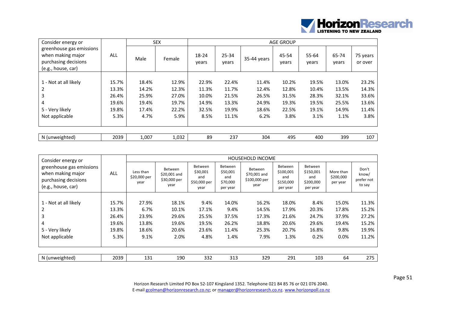

| Consider energy or                                                                          |            |       | <b>SEX</b> |                |                    |             | <b>AGE GROUP</b> |                |                |                     |
|---------------------------------------------------------------------------------------------|------------|-------|------------|----------------|--------------------|-------------|------------------|----------------|----------------|---------------------|
| greenhouse gas emissions<br>when making major<br>purchasing decisions<br>(e.g., house, car) | <b>ALL</b> | Male  | Female     | 18-24<br>years | $25 - 34$<br>years | 35-44 years | 45-54<br>years   | 55-64<br>years | 65-74<br>years | 75 years<br>or over |
|                                                                                             |            |       |            |                |                    |             |                  |                |                |                     |
| 1 - Not at all likely                                                                       | 15.7%      | 18.4% | 12.9%      | 22.9%          | 22.4%              | 11.4%       | 10.2%            | 19.5%          | 13.0%          | 23.2%               |
| 2                                                                                           | 13.3%      | 14.2% | 12.3%      | 11.3%          | 11.7%              | 12.4%       | 12.8%            | 10.4%          | 13.5%          | 14.3%               |
| 3                                                                                           | 26.4%      | 25.9% | 27.0%      | 10.0%          | 21.5%              | 26.5%       | 31.5%            | 28.3%          | 32.1%          | 33.6%               |
| 4                                                                                           | 19.6%      | 19.4% | 19.7%      | 14.9%          | 13.3%              | 24.9%       | 19.3%            | 19.5%          | 25.5%          | 13.6%               |
| 5 - Very likely                                                                             | 19.8%      | 17.4% | 22.2%      | 32.5%          | 19.9%              | 18.6%       | 22.5%            | 19.1%          | 14.9%          | 11.4%               |
| Not applicable                                                                              | 5.3%       | 4.7%  | 5.9%       | 8.5%           | 11.1%              | 6.2%        | 3.8%             | 3.1%           | 1.1%           | 3.8%                |
|                                                                                             |            |       |            |                |                    |             |                  |                |                |                     |
| N (unweighted)                                                                              | 2039       | 1,007 | 1,032      | 89             | 237                | 304         | 495              | 400            | 399            | 107                 |

| Consider energy or                                                                          |            |                                   |                                                        |                                                    |                                                    | HOUSEHOLD INCOME                                        |                                                             |                                                             |                                    |                                        |
|---------------------------------------------------------------------------------------------|------------|-----------------------------------|--------------------------------------------------------|----------------------------------------------------|----------------------------------------------------|---------------------------------------------------------|-------------------------------------------------------------|-------------------------------------------------------------|------------------------------------|----------------------------------------|
| greenhouse gas emissions<br>when making major<br>purchasing decisions<br>(e.g., house, car) | <b>ALL</b> | Less than<br>\$20,000 per<br>year | <b>Between</b><br>\$20,001 and<br>\$30,000 per<br>year | Between<br>\$30,001<br>and<br>\$50,000 per<br>year | Between<br>\$50,001<br>and<br>\$70,000<br>per year | <b>Between</b><br>\$70,001 and<br>\$100,000 per<br>year | <b>Between</b><br>\$100,001<br>and<br>\$150,000<br>per year | <b>Between</b><br>\$150,001<br>and<br>\$200,000<br>per year | More than<br>\$200,000<br>per year | Don't<br>know/<br>prefer not<br>to say |
|                                                                                             |            |                                   |                                                        |                                                    |                                                    |                                                         |                                                             |                                                             |                                    |                                        |
| 1 - Not at all likely                                                                       | 15.7%      | 27.9%                             | 18.1%                                                  | 9.4%                                               | 14.0%                                              | 16.2%                                                   | 18.0%                                                       | 8.4%                                                        | 15.0%                              | 11.3%                                  |
| 2                                                                                           | 13.3%      | 6.7%                              | 10.1%                                                  | 17.1%                                              | 9.4%                                               | 14.5%                                                   | 17.9%                                                       | 20.3%                                                       | 17.8%                              | 15.2%                                  |
| 3                                                                                           | 26.4%      | 23.9%                             | 29.6%                                                  | 25.5%                                              | 37.5%                                              | 17.3%                                                   | 21.6%                                                       | 24.7%                                                       | 37.9%                              | 27.2%                                  |
| 4                                                                                           | 19.6%      | 13.8%                             | 19.6%                                                  | 19.5%                                              | 26.2%                                              | 18.8%                                                   | 20.6%                                                       | 29.6%                                                       | 19.4%                              | 15.2%                                  |
| 5 - Very likely                                                                             | 19.8%      | 18.6%                             | 20.6%                                                  | 23.6%                                              | 11.4%                                              | 25.3%                                                   | 20.7%                                                       | 16.8%                                                       | 9.8%                               | 19.9%                                  |
| Not applicable                                                                              | 5.3%       | 9.1%                              | 2.0%                                                   | 4.8%                                               | 1.4%                                               | 7.9%                                                    | 1.3%                                                        | 0.2%                                                        | 0.0%                               | 11.2%                                  |
|                                                                                             |            |                                   |                                                        |                                                    |                                                    |                                                         |                                                             |                                                             |                                    |                                        |
| N (unweighted)                                                                              | 2039       | 131                               | 190                                                    | 332                                                | 313                                                | 329                                                     | 291                                                         | 103                                                         | 64                                 | 275                                    |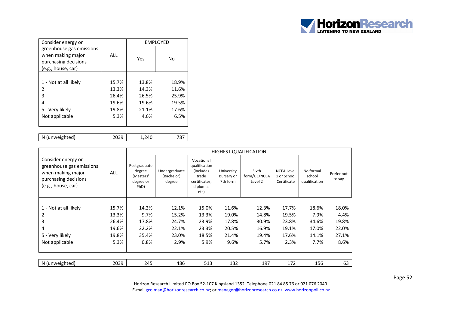

| Consider energy or                                                                          |            |       | <b>EMPLOYED</b> |
|---------------------------------------------------------------------------------------------|------------|-------|-----------------|
| greenhouse gas emissions<br>when making major<br>purchasing decisions<br>(e.g., house, car) | <b>ALL</b> | Yes   | No              |
|                                                                                             |            |       |                 |
| 1 - Not at all likely                                                                       | 15.7%      | 13.8% | 18.9%           |
| 2                                                                                           | 13.3%      | 14.3% | 11.6%           |
| 3                                                                                           | 26.4%      | 26.5% | 25.9%           |
| 4                                                                                           | 19.6%      | 19.6% | 19.5%           |
| 5 - Very likely                                                                             | 19.8%      | 21.1% | 17.6%           |
| Not applicable                                                                              | 5.3%       | 4.6%  | 6.5%            |
|                                                                                             |            |       |                 |

N (unweighted) 2039 1,240 787

|                                                                                                                   |       |                                                          |                                       |                                                                                                |                                      | <b>HIGHEST QUALIFICATION</b>     |                                                 |                                      |                      |
|-------------------------------------------------------------------------------------------------------------------|-------|----------------------------------------------------------|---------------------------------------|------------------------------------------------------------------------------------------------|--------------------------------------|----------------------------------|-------------------------------------------------|--------------------------------------|----------------------|
| Consider energy or<br>greenhouse gas emissions<br>when making major<br>purchasing decisions<br>(e.g., house, car) | ALL   | Postgraduate<br>degree<br>(Masters'<br>degree or<br>PhD) | Undergraduate<br>(Bachelor)<br>degree | Vocational<br>qualification<br><i>(includes)</i><br>trade<br>certificates,<br>diplomas<br>etc) | University<br>Bursary or<br>7th form | Sixth<br>form/UE/NCEA<br>Level 2 | <b>NCEA Level</b><br>1 or School<br>Certificate | No formal<br>school<br>qualification | Prefer not<br>to say |
|                                                                                                                   |       |                                                          |                                       |                                                                                                |                                      |                                  |                                                 |                                      |                      |
| 1 - Not at all likely                                                                                             | 15.7% | 14.2%                                                    | 12.1%                                 | 15.0%                                                                                          | 11.6%                                | 12.3%                            | 17.7%                                           | 18.6%                                | 18.0%                |
| 2                                                                                                                 | 13.3% | 9.7%                                                     | 15.2%                                 | 13.3%                                                                                          | 19.0%                                | 14.8%                            | 19.5%                                           | 7.9%                                 | 4.4%                 |
| 3                                                                                                                 | 26.4% | 17.8%                                                    | 24.7%                                 | 23.9%                                                                                          | 17.8%                                | 30.9%                            | 23.8%                                           | 34.6%                                | 19.8%                |
| 4                                                                                                                 | 19.6% | 22.2%                                                    | 22.1%                                 | 23.3%                                                                                          | 20.5%                                | 16.9%                            | 19.1%                                           | 17.0%                                | 22.0%                |
| 5 - Very likely                                                                                                   | 19.8% | 35.4%                                                    | 23.0%                                 | 18.5%                                                                                          | 21.4%                                | 19.4%                            | 17.6%                                           | 14.1%                                | 27.1%                |
| Not applicable                                                                                                    | 5.3%  | 0.8%                                                     | 2.9%                                  | 5.9%                                                                                           | 9.6%                                 | 5.7%                             | 2.3%                                            | 7.7%                                 | 8.6%                 |
|                                                                                                                   |       |                                                          |                                       |                                                                                                |                                      |                                  |                                                 |                                      |                      |
| N (unweighted)                                                                                                    | 2039  | 245                                                      | 486                                   | 513                                                                                            | 132                                  | 197                              | 172                                             | 156                                  | 63                   |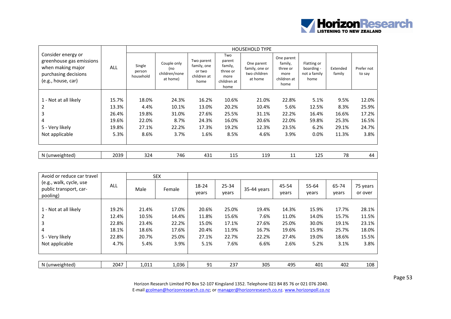

|                                                                                                                   |       |                               |                                                 |                                                            |                                                                     | <b>HOUSEHOLD TYPE</b>                                   |                                                                  |                                                   |                    |                      |
|-------------------------------------------------------------------------------------------------------------------|-------|-------------------------------|-------------------------------------------------|------------------------------------------------------------|---------------------------------------------------------------------|---------------------------------------------------------|------------------------------------------------------------------|---------------------------------------------------|--------------------|----------------------|
| Consider energy or<br>greenhouse gas emissions<br>when making major<br>purchasing decisions<br>(e.g., house, car) | ALL   | Single<br>person<br>household | Couple only<br>(no<br>children/none<br>at home) | Two parent<br>family, one<br>or two<br>children at<br>home | Two<br>parent<br>family,<br>three or<br>more<br>children at<br>home | One parent<br>family, one or<br>two children<br>at home | One parent<br>family,<br>three or<br>more<br>children at<br>home | Flatting or<br>boarding -<br>not a family<br>home | Extended<br>family | Prefer not<br>to say |
|                                                                                                                   |       |                               |                                                 |                                                            |                                                                     |                                                         |                                                                  |                                                   |                    |                      |
| 1 - Not at all likely                                                                                             | 15.7% | 18.0%                         | 24.3%                                           | 16.2%                                                      | 10.6%                                                               | 21.0%                                                   | 22.8%                                                            | 5.1%                                              | 9.5%               | 12.0%                |
| 2                                                                                                                 | 13.3% | 4.4%                          | 10.1%                                           | 13.0%                                                      | 20.2%                                                               | 10.4%                                                   | 5.6%                                                             | 12.5%                                             | 8.3%               | 25.9%                |
| 3                                                                                                                 | 26.4% | 19.8%                         | 31.0%                                           | 27.6%                                                      | 25.5%                                                               | 31.1%                                                   | 22.2%                                                            | 16.4%                                             | 16.6%              | 17.2%                |
| 4                                                                                                                 | 19.6% | 22.0%                         | 8.7%                                            | 24.3%                                                      | 16.0%                                                               | 20.6%                                                   | 22.0%                                                            | 59.8%                                             | 25.3%              | 16.5%                |
| 5 - Very likely                                                                                                   | 19.8% | 27.1%                         | 22.2%                                           | 17.3%                                                      | 19.2%                                                               | 12.3%                                                   | 23.5%                                                            | 6.2%                                              | 29.1%              | 24.7%                |
| Not applicable                                                                                                    | 5.3%  | 8.6%                          | 3.7%                                            | 1.6%                                                       | 8.5%                                                                | 4.6%                                                    | 3.9%                                                             | $0.0\%$                                           | 11.3%              | 3.8%                 |
|                                                                                                                   |       |                               |                                                 |                                                            |                                                                     |                                                         |                                                                  |                                                   |                    |                      |
| N (unweighted)                                                                                                    | 2039  | 324                           | 746                                             | 431                                                        | 115                                                                 | 119                                                     | 11                                                               | 125                                               | 78                 | 44                   |

| Avoid or reduce car travel                                    |       |       | <b>SEX</b> |                |                    |             |                |                |                |                     |
|---------------------------------------------------------------|-------|-------|------------|----------------|--------------------|-------------|----------------|----------------|----------------|---------------------|
| (e.g., walk, cycle, use<br>public transport, car-<br>pooling) | ALL   | Male  | Female     | 18-24<br>years | $25 - 34$<br>years | 35-44 years | 45-54<br>years | 55-64<br>years | 65-74<br>years | 75 years<br>or over |
|                                                               |       |       |            |                |                    |             |                |                |                |                     |
| 1 - Not at all likely                                         | 19.2% | 21.4% | 17.0%      | 20.6%          | 25.0%              | 19.4%       | 14.3%          | 15.9%          | 17.7%          | 28.1%               |
| $\overline{2}$                                                | 12.4% | 10.5% | 14.4%      | 11.8%          | 15.6%              | 7.6%        | 11.0%          | 14.0%          | 15.7%          | 11.5%               |
| 3                                                             | 22.8% | 23.4% | 22.2%      | 15.0%          | 17.1%              | 27.6%       | 25.0%          | 30.0%          | 19.1%          | 23.1%               |
| 4                                                             | 18.1% | 18.6% | 17.6%      | 20.4%          | 11.9%              | 16.7%       | 19.6%          | 15.9%          | 25.7%          | 18.0%               |
| 5 - Very likely                                               | 22.8% | 20.7% | 25.0%      | 27.1%          | 22.7%              | 22.2%       | 27.4%          | 19.0%          | 18.6%          | 15.5%               |
| Not applicable                                                | 4.7%  | 5.4%  | 3.9%       | 5.1%           | 7.6%               | 6.6%        | 2.6%           | 5.2%           | 3.1%           | 3.8%                |
|                                                               |       |       |            |                |                    |             |                |                |                |                     |
|                                                               |       |       |            |                |                    |             |                |                |                |                     |
| N (unweighted)                                                | 2047  | 1,011 | 1,036      | 91             | 237                | 305         | 495            | 401            | 402            | 108                 |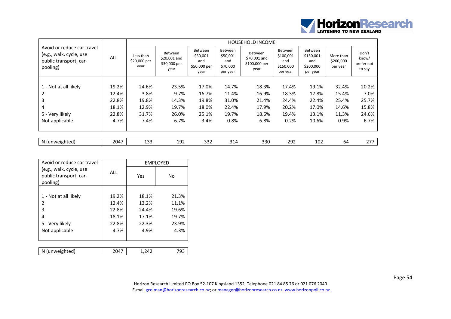

|                                                                                             |       |                                   |                                                 |                                                           |                                                           | <b>HOUSEHOLD INCOME</b>                                 |                                                      |                                                      |                                    |                                        |
|---------------------------------------------------------------------------------------------|-------|-----------------------------------|-------------------------------------------------|-----------------------------------------------------------|-----------------------------------------------------------|---------------------------------------------------------|------------------------------------------------------|------------------------------------------------------|------------------------------------|----------------------------------------|
| Avoid or reduce car travel<br>(e.g., walk, cycle, use<br>public transport, car-<br>pooling) | ALL   | Less than<br>\$20,000 per<br>year | Between<br>\$20,001 and<br>\$30,000 per<br>year | <b>Between</b><br>\$30,001<br>and<br>\$50,000 per<br>year | <b>Between</b><br>\$50,001<br>and<br>\$70,000<br>per year | <b>Between</b><br>\$70,001 and<br>\$100,000 per<br>year | Between<br>\$100,001<br>and<br>\$150,000<br>per year | Between<br>\$150,001<br>and<br>\$200,000<br>per year | More than<br>\$200,000<br>per year | Don't<br>know/<br>prefer not<br>to say |
|                                                                                             |       |                                   |                                                 |                                                           |                                                           |                                                         |                                                      |                                                      |                                    |                                        |
| 1 - Not at all likely                                                                       | 19.2% | 24.6%                             | 23.5%                                           | 17.0%                                                     | 14.7%                                                     | 18.3%                                                   | 17.4%                                                | 19.1%                                                | 32.4%                              | 20.2%                                  |
|                                                                                             | 12.4% | 3.8%                              | 9.7%                                            | 16.7%                                                     | 11.4%                                                     | 16.9%                                                   | 18.3%                                                | 17.8%                                                | 15.4%                              | 7.0%                                   |
| 3                                                                                           | 22.8% | 19.8%                             | 14.3%                                           | 19.8%                                                     | 31.0%                                                     | 21.4%                                                   | 24.4%                                                | 22.4%                                                | 25.4%                              | 25.7%                                  |
| 4                                                                                           | 18.1% | 12.9%                             | 19.7%                                           | 18.0%                                                     | 22.4%                                                     | 17.9%                                                   | 20.2%                                                | 17.0%                                                | 14.6%                              | 15.8%                                  |
| 5 - Very likely                                                                             | 22.8% | 31.7%                             | 26.0%                                           | 25.1%                                                     | 19.7%                                                     | 18.6%                                                   | 19.4%                                                | 13.1%                                                | 11.3%                              | 24.6%                                  |
| Not applicable                                                                              | 4.7%  | 7.4%                              | 6.7%                                            | 3.4%                                                      | 0.8%                                                      | 6.8%                                                    | 0.2%                                                 | 10.6%                                                | 0.9%                               | 6.7%                                   |
|                                                                                             |       |                                   |                                                 |                                                           |                                                           |                                                         |                                                      |                                                      |                                    |                                        |
| N (unweighted)                                                                              | 2047  | 133                               | 192                                             | 332                                                       | 314                                                       | 330                                                     | 292                                                  | 102                                                  | 64                                 | 277                                    |

| Avoid or reduce car travel                                    |            |       | EMPLOYED |
|---------------------------------------------------------------|------------|-------|----------|
| (e.g., walk, cycle, use<br>public transport, car-<br>pooling) | <b>ALL</b> | Yes   | No       |
|                                                               |            |       |          |
| 1 - Not at all likely                                         | 19.2%      | 18.1% | 21.3%    |
| 2                                                             | 12.4%      | 13.2% | 11.1%    |
| 3                                                             | 22.8%      | 24.4% | 19.6%    |
| 4                                                             | 18.1%      | 17.1% | 19.7%    |
| 5 - Very likely                                               | 22.8%      | 22.3% | 23.9%    |
| Not applicable                                                | 4.7%       | 4.9%  | 4.3%     |
|                                                               |            |       |          |
|                                                               |            |       |          |
| N (unweighted)                                                | 2047       | 1.242 | 793      |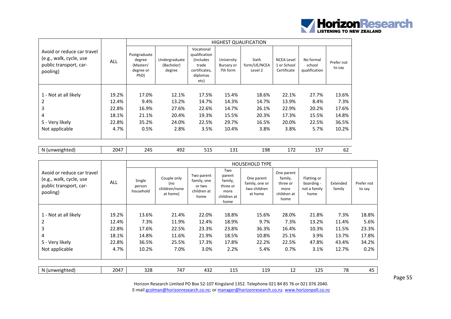

|                                                                                             |            |                                                          |                                       |                                                                                                |                                      | <b>HIGHEST QUALIFICATION</b>     |                                                 |                                      |                      |
|---------------------------------------------------------------------------------------------|------------|----------------------------------------------------------|---------------------------------------|------------------------------------------------------------------------------------------------|--------------------------------------|----------------------------------|-------------------------------------------------|--------------------------------------|----------------------|
| Avoid or reduce car travel<br>(e.g., walk, cycle, use<br>public transport, car-<br>pooling) | <b>ALL</b> | Postgraduate<br>degree<br>(Masters'<br>degree or<br>PhD) | Undergraduate<br>(Bachelor)<br>degree | Vocational<br>qualification<br><i>(includes)</i><br>trade<br>certificates,<br>diplomas<br>etc) | University<br>Bursary or<br>7th form | Sixth<br>form/UE/NCEA<br>Level 2 | <b>NCEA Level</b><br>1 or School<br>Certificate | No formal<br>school<br>qualification | Prefer not<br>to say |
|                                                                                             |            |                                                          |                                       |                                                                                                |                                      |                                  |                                                 |                                      |                      |
| 1 - Not at all likely                                                                       | 19.2%      | 17.0%                                                    | 12.1%                                 | 17.5%                                                                                          | 15.4%                                | 18.6%                            | 22.1%                                           | 27.7%                                | 13.6%                |
|                                                                                             | 12.4%      | 9.4%                                                     | 13.2%                                 | 14.7%                                                                                          | 14.3%                                | 14.7%                            | 13.9%                                           | 8.4%                                 | 7.3%                 |
| 3                                                                                           | 22.8%      | 16.9%                                                    | 27.6%                                 | 22.6%                                                                                          | 14.7%                                | 26.1%                            | 22.9%                                           | 20.2%                                | 17.6%                |
| 4                                                                                           | 18.1%      | 21.1%                                                    | 20.4%                                 | 19.3%                                                                                          | 15.5%                                | 20.3%                            | 17.3%                                           | 15.5%                                | 14.8%                |
| 5 - Very likely                                                                             | 22.8%      | 35.2%                                                    | 24.0%                                 | 22.5%                                                                                          | 29.7%                                | 16.5%                            | 20.0%                                           | 22.5%                                | 36.5%                |
| Not applicable                                                                              | 4.7%       | 0.5%                                                     | 2.8%                                  | 3.5%                                                                                           | 10.4%                                | 3.8%                             | 3.8%                                            | 5.7%                                 | 10.2%                |
|                                                                                             |            |                                                          |                                       |                                                                                                |                                      |                                  |                                                 |                                      |                      |

| N<br>.<br>MAION<br>. | -<br>л ід<br>.<br>. . | - -<br>4<br>–⊷ | 70″<br>--<br>___ | - - -<br>---<br>$-$ |  | ، ص<br>ᅩᄀC | $\overline{\phantom{a}}$<br>--- | $  -$<br>-- | ັບ∠ |
|----------------------|-----------------------|----------------|------------------|---------------------|--|------------|---------------------------------|-------------|-----|
|----------------------|-----------------------|----------------|------------------|---------------------|--|------------|---------------------------------|-------------|-----|

|                                                                                             |            |                               |                                                 |                                                            |                                                                     | <b>HOUSEHOLD TYPE</b>                                   |                                                                  |                                                   |                    |                      |
|---------------------------------------------------------------------------------------------|------------|-------------------------------|-------------------------------------------------|------------------------------------------------------------|---------------------------------------------------------------------|---------------------------------------------------------|------------------------------------------------------------------|---------------------------------------------------|--------------------|----------------------|
| Avoid or reduce car travel<br>(e.g., walk, cycle, use<br>public transport, car-<br>pooling) | <b>ALL</b> | Single<br>person<br>household | Couple only<br>(no<br>children/none<br>at home) | Two parent<br>family, one<br>or two<br>children at<br>home | Two<br>parent<br>family,<br>three or<br>more<br>children at<br>home | One parent<br>family, one or<br>two children<br>at home | One parent<br>family,<br>three or<br>more<br>children at<br>home | Flatting or<br>boarding -<br>not a family<br>home | Extended<br>family | Prefer not<br>to say |
|                                                                                             |            |                               |                                                 |                                                            |                                                                     |                                                         |                                                                  |                                                   |                    |                      |
| 1 - Not at all likely                                                                       | 19.2%      | 13.6%                         | 21.4%                                           | 22.0%                                                      | 18.8%                                                               | 15.6%                                                   | 28.0%                                                            | 21.8%                                             | 7.3%               | 18.8%                |
|                                                                                             | 12.4%      | 7.3%                          | 11.9%                                           | 12.4%                                                      | 18.9%                                                               | 9.7%                                                    | 7.3%                                                             | 13.2%                                             | 11.4%              | 5.6%                 |
| 3                                                                                           | 22.8%      | 17.6%                         | 22.5%                                           | 23.3%                                                      | 23.8%                                                               | 36.3%                                                   | 16.4%                                                            | 10.3%                                             | 11.5%              | 23.3%                |
| 4                                                                                           | 18.1%      | 14.8%                         | 11.6%                                           | 21.9%                                                      | 18.5%                                                               | 10.8%                                                   | 25.1%                                                            | 3.9%                                              | 13.7%              | 17.8%                |
| 5 - Very likely                                                                             | 22.8%      | 36.5%                         | 25.5%                                           | 17.3%                                                      | 17.8%                                                               | 22.2%                                                   | 22.5%                                                            | 47.8%                                             | 43.4%              | 34.2%                |
| Not applicable                                                                              | 4.7%       | 10.2%                         | 7.0%                                            | 3.0%                                                       | 2.2%                                                                | 5.4%                                                    | 0.7%                                                             | 3.1%                                              | 12.7%              | 0.2%                 |
|                                                                                             |            |                               |                                                 |                                                            |                                                                     |                                                         |                                                                  |                                                   |                    |                      |
| N (unweighted)                                                                              | 2047       | 328                           | 747                                             | 432                                                        | 115                                                                 | 119                                                     | 12                                                               | 125                                               | 78                 | 45                   |

Page 55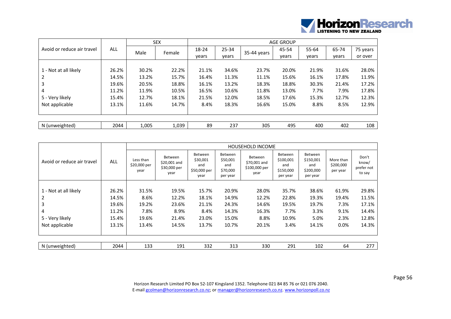

|                            |            |       | <b>SEX</b> | <b>AGE GROUP</b> |           |             |       |       |       |          |  |  |
|----------------------------|------------|-------|------------|------------------|-----------|-------------|-------|-------|-------|----------|--|--|
| Avoid or reduce air travel | <b>ALL</b> | Male  | Female     | 18-24            | $25 - 34$ | 35-44 years | 45-54 | 55-64 | 65-74 | 75 years |  |  |
|                            |            |       |            | years            | years     |             | years | years | years | or over  |  |  |
|                            |            |       |            |                  |           |             |       |       |       |          |  |  |
| 1 - Not at all likely      | 26.2%      | 30.2% | 22.2%      | 21.1%            | 34.6%     | 23.7%       | 20.0% | 21.9% | 31.6% | 28.0%    |  |  |
|                            | 14.5%      | 13.2% | 15.7%      | 16.4%            | 11.3%     | 11.1%       | 15.6% | 16.1% | 17.8% | 11.9%    |  |  |
| 3                          | 19.6%      | 20.5% | 18.8%      | 16.1%            | 13.2%     | 18.3%       | 18.8% | 30.3% | 21.4% | 17.2%    |  |  |
| 4                          | 11.2%      | 11.9% | 10.5%      | 16.5%            | 10.6%     | 11.8%       | 13.0% | 7.7%  | 7.9%  | 17.8%    |  |  |
| 5 - Very likely            | 15.4%      | 12.7% | 18.1%      | 21.5%            | 12.0%     | 18.5%       | 17.6% | 15.3% | 12.7% | 12.3%    |  |  |
| Not applicable             | 13.1%      | 11.6% | 14.7%      | 8.4%             | 18.3%     | 16.6%       | 15.0% | 8.8%  | 8.5%  | 12.9%    |  |  |
|                            |            |       |            |                  |           |             |       |       |       |          |  |  |
|                            |            |       |            |                  |           |             |       |       |       |          |  |  |
| N (unweighted)             | 2044       | 1,005 | 1,039      | 89               | 237       | 305         | 495   | 400   | 402   | 108      |  |  |

|                            | ALL   |                                   |                                                 |                                                    |                                                           | <b>HOUSEHOLD INCOME</b>                          |                                                      |                                                             |                                    |                                        |
|----------------------------|-------|-----------------------------------|-------------------------------------------------|----------------------------------------------------|-----------------------------------------------------------|--------------------------------------------------|------------------------------------------------------|-------------------------------------------------------------|------------------------------------|----------------------------------------|
| Avoid or reduce air travel |       | Less than<br>\$20,000 per<br>year | Between<br>\$20,001 and<br>\$30,000 per<br>year | Between<br>\$30,001<br>and<br>\$50,000 per<br>year | <b>Between</b><br>\$50,001<br>and<br>\$70,000<br>per year | Between<br>\$70,001 and<br>\$100,000 per<br>year | Between<br>\$100,001<br>and<br>\$150,000<br>per year | <b>Between</b><br>\$150,001<br>and<br>\$200,000<br>per year | More than<br>\$200,000<br>per year | Don't<br>know/<br>prefer not<br>to say |
|                            |       |                                   |                                                 |                                                    |                                                           |                                                  |                                                      |                                                             |                                    |                                        |
| 1 - Not at all likely      | 26.2% | 31.5%                             | 19.5%                                           | 15.7%                                              | 20.9%                                                     | 28.0%                                            | 35.7%                                                | 38.6%                                                       | 61.9%                              | 29.8%                                  |
| 2                          | 14.5% | 8.6%                              | 12.2%                                           | 18.1%                                              | 14.9%                                                     | 12.2%                                            | 22.8%                                                | 19.3%                                                       | 19.4%                              | 11.5%                                  |
| 3                          | 19.6% | 19.2%                             | 23.6%                                           | 21.1%                                              | 24.3%                                                     | 14.6%                                            | 19.5%                                                | 19.7%                                                       | 7.3%                               | 17.1%                                  |
| 4                          | 11.2% | 7.8%                              | 8.9%                                            | 8.4%                                               | 14.3%                                                     | 16.3%                                            | 7.7%                                                 | 3.3%                                                        | 9.1%                               | 14.4%                                  |
| 5 - Very likely            | 15.4% | 19.6%                             | 21.4%                                           | 23.0%                                              | 15.0%                                                     | 8.8%                                             | 10.9%                                                | 5.0%                                                        | 2.3%                               | 12.8%                                  |
| Not applicable             | 13.1% | 13.4%                             | 14.5%                                           | 13.7%                                              | 10.7%                                                     | 20.1%                                            | 3.4%                                                 | 14.1%                                                       | 0.0%                               | 14.3%                                  |
|                            |       |                                   |                                                 |                                                    |                                                           |                                                  |                                                      |                                                             |                                    |                                        |
| N (unweighted)             | 2044  | 133                               | 191                                             | 332                                                | 313                                                       | 330                                              | 291                                                  | 102                                                         | 64                                 | 277                                    |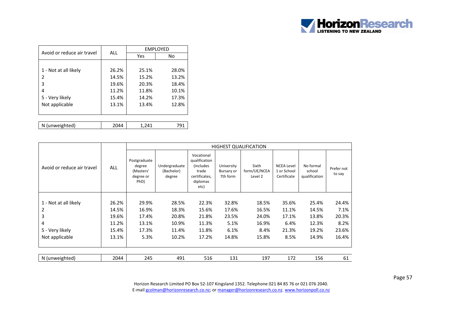

| Avoid or reduce air travel | ALL   |       | <b>EMPLOYED</b> |
|----------------------------|-------|-------|-----------------|
|                            |       | Yes   | No              |
|                            |       |       |                 |
| 1 - Not at all likely      | 26.2% | 25.1% | 28.0%           |
| 2                          | 14.5% | 15.2% | 13.2%           |
| 3                          | 19.6% | 20.3% | 18.4%           |
| 4                          | 11.2% | 11.8% | 10.1%           |
| 5 - Very likely            | 15.4% | 14.2% | 17.3%           |
| Not applicable             | 13.1% | 13.4% | 12.8%           |
|                            |       |       |                 |
|                            |       |       |                 |
| N (unweighted)             | 2044  | 1.241 | 791             |

|                            |            |                                                          |                                       |                                                                                                |                                      | <b>HIGHEST QUALIFICATION</b>     |                                                 |                                      |                      |
|----------------------------|------------|----------------------------------------------------------|---------------------------------------|------------------------------------------------------------------------------------------------|--------------------------------------|----------------------------------|-------------------------------------------------|--------------------------------------|----------------------|
| Avoid or reduce air travel | <b>ALL</b> | Postgraduate<br>degree<br>(Masters'<br>degree or<br>PhD) | Undergraduate<br>(Bachelor)<br>degree | Vocational<br>qualification<br><i>(includes)</i><br>trade<br>certificates,<br>diplomas<br>etc) | University<br>Bursary or<br>7th form | Sixth<br>form/UE/NCEA<br>Level 2 | <b>NCEA Level</b><br>1 or School<br>Certificate | No formal<br>school<br>qualification | Prefer not<br>to say |
|                            | 26.2%      | 29.9%                                                    | 28.5%                                 | 22.3%                                                                                          | 32.8%                                | 18.5%                            | 35.6%                                           | 25.4%                                | 24.4%                |
| 1 - Not at all likely      |            |                                                          |                                       |                                                                                                |                                      |                                  |                                                 |                                      |                      |
| 2                          | 14.5%      | 16.9%                                                    | 18.3%                                 | 15.6%                                                                                          | 17.6%                                | 16.5%                            | 11.1%                                           | 14.5%                                | 7.1%                 |
| 3                          | 19.6%      | 17.4%                                                    | 20.8%                                 | 21.8%                                                                                          | 23.5%                                | 24.0%                            | 17.1%                                           | 13.8%                                | 20.3%                |
| 4                          | 11.2%      | 13.1%                                                    | 10.9%                                 | 11.3%                                                                                          | 5.1%                                 | 16.9%                            | 6.4%                                            | 12.3%                                | 8.2%                 |
| 5 - Very likely            | 15.4%      | 17.3%                                                    | 11.4%                                 | 11.8%                                                                                          | 6.1%                                 | 8.4%                             | 21.3%                                           | 19.2%                                | 23.6%                |
| Not applicable             | 13.1%      | 5.3%                                                     | 10.2%                                 | 17.2%                                                                                          | 14.8%                                | 15.8%                            | 8.5%                                            | 14.9%                                | 16.4%                |
|                            |            |                                                          |                                       |                                                                                                |                                      |                                  |                                                 |                                      |                      |
| N (unweighted)             | 2044       | 245                                                      | 491                                   | 516                                                                                            | 131                                  | 197                              | 172                                             | 156                                  | 61                   |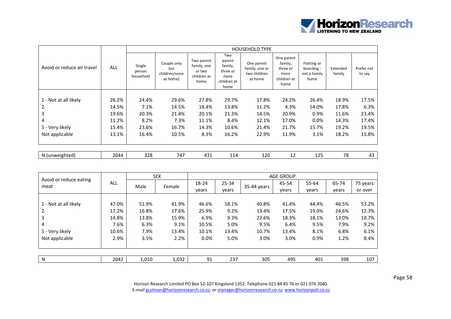

|                            |            |                               |                                                 |                                                            |                                                                     | <b>HOUSEHOLD TYPE</b>                                   |                                                                  |                                                   |                    |                      |
|----------------------------|------------|-------------------------------|-------------------------------------------------|------------------------------------------------------------|---------------------------------------------------------------------|---------------------------------------------------------|------------------------------------------------------------------|---------------------------------------------------|--------------------|----------------------|
| Avoid or reduce air travel | <b>ALL</b> | Single<br>person<br>household | Couple only<br>(no<br>children/none<br>at home) | Two parent<br>family, one<br>or two<br>children at<br>home | Two<br>parent<br>family,<br>three or<br>more<br>children at<br>home | One parent<br>family, one or<br>two children<br>at home | One parent<br>family,<br>three or<br>more<br>children at<br>home | Flatting or<br>boarding -<br>not a family<br>home | Extended<br>family | Prefer not<br>to say |
|                            |            |                               |                                                 |                                                            |                                                                     |                                                         |                                                                  |                                                   |                    |                      |
| 1 - Not at all likely      | 26.2%      | 24.4%                         | 29.6%                                           | 27.8%                                                      | 29.7%                                                               | 17.8%                                                   | 24.2%                                                            | 26.4%                                             | 18.9%              | 17.5%                |
| 2                          | 14.5%      | 7.1%                          | 14.5%                                           | 18.4%                                                      | 13.8%                                                               | 11.2%                                                   | 4.3%                                                             | 54.0%                                             | 17.8%              | 6.3%                 |
| 3                          | 19.6%      | 20.3%                         | 21.4%                                           | 20.1%                                                      | 21.3%                                                               | 14.5%                                                   | 20.9%                                                            | 0.9%                                              | 11.6%              | 23.4%                |
| 4                          | 11.2%      | 8.2%                          | 7.3%                                            | 11.1%                                                      | 8.4%                                                                | 12.1%                                                   | 17.0%                                                            | $0.0\%$                                           | 14.3%              | 17.4%                |
| 5 - Very likely            | 15.4%      | 23.6%                         | 16.7%                                           | 14.3%                                                      | 10.6%                                                               | 21.4%                                                   | 21.7%                                                            | 15.7%                                             | 19.2%              | 19.5%                |
| Not applicable             | 13.1%      | 16.4%                         | 10.5%                                           | 8.3%                                                       | 16.2%                                                               | 22.9%                                                   | 11.9%                                                            | 3.1%                                              | 18.2%              | 15.8%                |
|                            |            |                               |                                                 |                                                            |                                                                     |                                                         |                                                                  |                                                   |                    |                      |
| N (unweighted)             | 2044       | 328                           | 747                                             | 431                                                        | 114                                                                 | 120                                                     | 12                                                               | 125                                               | 78                 | 43                   |

|                                |            |       | <b>SEX</b> | <b>AGE GROUP</b> |           |             |       |       |       |          |  |  |
|--------------------------------|------------|-------|------------|------------------|-----------|-------------|-------|-------|-------|----------|--|--|
| Avoid or reduce eating<br>meat | <b>ALL</b> | Male  | Female     | 18-24            | $25 - 34$ | 35-44 years | 45-54 | 55-64 | 65-74 | 75 years |  |  |
|                                |            |       |            | years            | years     |             | years | years | years | or over  |  |  |
|                                |            |       |            |                  |           |             |       |       |       |          |  |  |
| 1 - Not at all likely          | 47.0%      | 51.9% | 41.9%      | 46.6%            | 58.1%     | 40.8%       | 41.4% | 44.4% | 46.5% | 53.2%    |  |  |
| 2                              | 17.2%      | 16.8% | 17.6%      | 25.9%            | 9.2%      | 13.4%       | 17.5% | 19.0% | 24.6% | 12.3%    |  |  |
| 3                              | 14.8%      | 13.8% | 15.9%      | 6.9%             | 9.3%      | 22.6%       | 18.3% | 18.1% | 13.0% | 10.7%    |  |  |
| 4                              | 7.6%       | 6.3%  | 9.1%       | 10.5%            | 5.0%      | 9.5%        | 6.4%  | 9.5%  | 7.9%  | 9.2%     |  |  |
| 5 - Very likely                | 10.6%      | 7.9%  | 13.4%      | 10.1%            | 13.4%     | 10.7%       | 13.4% | 8.1%  | 6.8%  | 6.1%     |  |  |
| Not applicable                 | 2.9%       | 3.5%  | 2.2%       | 0.0%             | 5.0%      | 3.0%        | 3.0%  | 0.9%  | 1.2%  | 8.4%     |  |  |
|                                |            |       |            |                  |           |             |       |       |       |          |  |  |
|                                |            |       |            |                  |           |             |       |       |       |          |  |  |
| N                              | 2042       | 1,010 | 1,032      | 91               | 237       | 305         | 495   | 401   | 398   | 107      |  |  |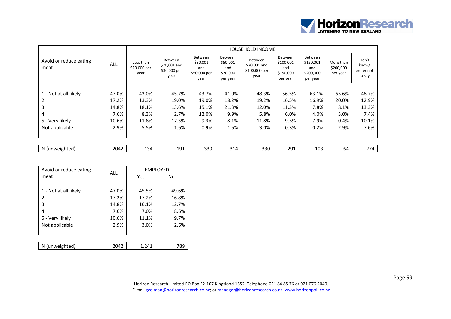

|                                |       |                                   |                                                 |                                                    |                                                           | <b>HOUSEHOLD INCOME</b>                                 |                                                      |                                                      |                                    |                                        |
|--------------------------------|-------|-----------------------------------|-------------------------------------------------|----------------------------------------------------|-----------------------------------------------------------|---------------------------------------------------------|------------------------------------------------------|------------------------------------------------------|------------------------------------|----------------------------------------|
| Avoid or reduce eating<br>meat | ALL   | Less than<br>\$20,000 per<br>year | Between<br>\$20,001 and<br>\$30,000 per<br>year | Between<br>\$30,001<br>and<br>\$50,000 per<br>year | <b>Between</b><br>\$50,001<br>and<br>\$70,000<br>per year | <b>Between</b><br>\$70,001 and<br>\$100,000 per<br>year | Between<br>\$100,001<br>and<br>\$150,000<br>per year | Between<br>\$150,001<br>and<br>\$200,000<br>per year | More than<br>\$200,000<br>per year | Don't<br>know/<br>prefer not<br>to say |
|                                |       |                                   |                                                 |                                                    |                                                           |                                                         |                                                      |                                                      |                                    |                                        |
| 1 - Not at all likely          | 47.0% | 43.0%                             | 45.7%                                           | 43.7%                                              | 41.0%                                                     | 48.3%                                                   | 56.5%                                                | 63.1%                                                | 65.6%                              | 48.7%                                  |
| 2                              | 17.2% | 13.3%                             | 19.0%                                           | 19.0%                                              | 18.2%                                                     | 19.2%                                                   | 16.5%                                                | 16.9%                                                | 20.0%                              | 12.9%                                  |
| 3                              | 14.8% | 18.1%                             | 13.6%                                           | 15.1%                                              | 21.3%                                                     | 12.0%                                                   | 11.3%                                                | 7.8%                                                 | 8.1%                               | 13.3%                                  |
| 4                              | 7.6%  | 8.3%                              | 2.7%                                            | 12.0%                                              | 9.9%                                                      | 5.8%                                                    | 6.0%                                                 | 4.0%                                                 | 3.0%                               | 7.4%                                   |
| 5 - Very likely                | 10.6% | 11.8%                             | 17.3%                                           | 9.3%                                               | 8.1%                                                      | 11.8%                                                   | 9.5%                                                 | 7.9%                                                 | 0.4%                               | 10.1%                                  |
| Not applicable                 | 2.9%  | 5.5%                              | 1.6%                                            | 0.9%                                               | 1.5%                                                      | 3.0%                                                    | 0.3%                                                 | 0.2%                                                 | 2.9%                               | 7.6%                                   |
|                                |       |                                   |                                                 |                                                    |                                                           |                                                         |                                                      |                                                      |                                    |                                        |
| N (unweighted)                 | 2042  | 134                               | 191                                             | 330                                                | 314                                                       | 330                                                     | 291                                                  | 103                                                  | 64                                 | 274                                    |

| Avoid or reduce eating | ALL   |       | <b>EMPLOYED</b> |
|------------------------|-------|-------|-----------------|
| meat                   |       | Yes   | No              |
|                        |       |       |                 |
| 1 - Not at all likely  | 47.0% | 45.5% | 49.6%           |
| 2                      | 17.2% | 17.2% | 16.8%           |
| 3                      | 14.8% | 16.1% | 12.7%           |
| 4                      | 7.6%  | 7.0%  | 8.6%            |
| 5 - Very likely        | 10.6% | 11.1% | 9.7%            |
| Not applicable         | 2.9%  | 3.0%  | 2.6%            |
|                        |       |       |                 |
|                        |       |       |                 |
| N (unweighted)         | 2042  | 1.241 | 789             |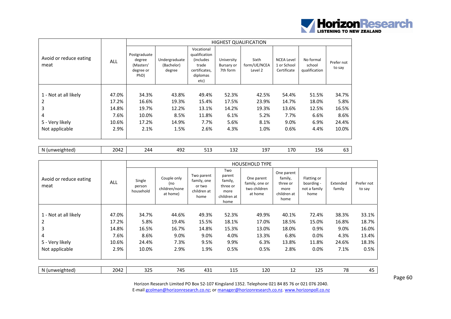

|                                |            |                                                          |                                       |                                                                                                |                                      | <b>HIGHEST QUALIFICATION</b>     |                                                 |                                      |                      |
|--------------------------------|------------|----------------------------------------------------------|---------------------------------------|------------------------------------------------------------------------------------------------|--------------------------------------|----------------------------------|-------------------------------------------------|--------------------------------------|----------------------|
| Avoid or reduce eating<br>meat | <b>ALL</b> | Postgraduate<br>degree<br>(Masters'<br>degree or<br>PhD) | Undergraduate<br>(Bachelor)<br>degree | Vocational<br>qualification<br><i>(includes)</i><br>trade<br>certificates,<br>diplomas<br>etc) | University<br>Bursary or<br>7th form | Sixth<br>form/UE/NCEA<br>Level 2 | <b>NCEA Level</b><br>1 or School<br>Certificate | No formal<br>school<br>qualification | Prefer not<br>to say |
|                                |            |                                                          |                                       |                                                                                                |                                      |                                  |                                                 |                                      |                      |
| 1 - Not at all likely          | 47.0%      | 34.3%                                                    | 43.8%                                 | 49.4%                                                                                          | 52.3%                                | 42.5%                            | 54.4%                                           | 51.5%                                | 34.7%                |
| 2                              | 17.2%      | 16.6%                                                    | 19.3%                                 | 15.4%                                                                                          | 17.5%                                | 23.9%                            | 14.7%                                           | 18.0%                                | 5.8%                 |
| 3                              | 14.8%      | 19.7%                                                    | 12.2%                                 | 13.1%                                                                                          | 14.2%                                | 19.3%                            | 13.6%                                           | 12.5%                                | 16.5%                |
| 4                              | 7.6%       | 10.0%                                                    | 8.5%                                  | 11.8%                                                                                          | 6.1%                                 | 5.2%                             | 7.7%                                            | 6.6%                                 | 8.6%                 |
| 5 - Very likely                | 10.6%      | 17.2%                                                    | 14.9%                                 | 7.7%                                                                                           | 5.6%                                 | 8.1%                             | 9.0%                                            | 6.9%                                 | 24.4%                |
| Not applicable                 | 2.9%       | 2.1%                                                     | 1.5%                                  | 2.6%                                                                                           | 4.3%                                 | 1.0%                             | 0.6%                                            | 4.4%                                 | 10.0%                |
|                                |            |                                                          |                                       |                                                                                                |                                      |                                  |                                                 |                                      |                      |

| nweighted<br>N<br>.<br>. | - -<br>ົດ ^<br>ட<br>. . | ⁄ Д Г' | . .<br>71 Q<br>. | ーー | $\sim$<br>∸∽ | $\sim$<br>. .<br>∸ | $70^{\circ}$<br>. . | .<br>150 | . . |
|--------------------------|-------------------------|--------|------------------|----|--------------|--------------------|---------------------|----------|-----|
|--------------------------|-------------------------|--------|------------------|----|--------------|--------------------|---------------------|----------|-----|

|                                | <b>ALL</b> |                               | <b>HOUSEHOLD TYPE</b>                           |                                                            |                                                                     |                                                         |                                                                  |                                                   |                    |                      |  |  |  |
|--------------------------------|------------|-------------------------------|-------------------------------------------------|------------------------------------------------------------|---------------------------------------------------------------------|---------------------------------------------------------|------------------------------------------------------------------|---------------------------------------------------|--------------------|----------------------|--|--|--|
| Avoid or reduce eating<br>meat |            | Single<br>person<br>household | Couple only<br>(no<br>children/none<br>at home) | Two parent<br>family, one<br>or two<br>children at<br>home | Two<br>parent<br>family,<br>three or<br>more<br>children at<br>home | One parent<br>family, one or<br>two children<br>at home | One parent<br>family,<br>three or<br>more<br>children at<br>home | Flatting or<br>boarding -<br>not a family<br>home | Extended<br>family | Prefer not<br>to say |  |  |  |
|                                |            |                               |                                                 |                                                            |                                                                     |                                                         |                                                                  |                                                   |                    |                      |  |  |  |
| 1 - Not at all likely          | 47.0%      | 34.7%                         | 44.6%                                           | 49.3%                                                      | 52.3%                                                               | 49.9%                                                   | 40.1%                                                            | 72.4%                                             | 38.3%              | 33.1%                |  |  |  |
|                                | 17.2%      | 5.8%                          | 19.4%                                           | 15.5%                                                      | 18.1%                                                               | 17.0%                                                   | 18.5%                                                            | 15.0%                                             | 16.8%              | 18.7%                |  |  |  |
| 3                              | 14.8%      | 16.5%                         | 16.7%                                           | 14.8%                                                      | 15.3%                                                               | 13.0%                                                   | 18.0%                                                            | 0.9%                                              | 9.0%               | 16.0%                |  |  |  |
| 4                              | 7.6%       | 8.6%                          | 9.0%                                            | 9.0%                                                       | 4.0%                                                                | 13.3%                                                   | 6.8%                                                             | 0.0%                                              | 4.3%               | 13.4%                |  |  |  |
| 5 - Very likely                | 10.6%      | 24.4%                         | 7.3%                                            | 9.5%                                                       | 9.9%                                                                | 6.3%                                                    | 13.8%                                                            | 11.8%                                             | 24.6%              | 18.3%                |  |  |  |
| Not applicable                 | 2.9%       | 10.0%                         | 2.9%                                            | 1.9%                                                       | 0.5%                                                                | 0.5%                                                    | 2.8%                                                             | 0.0%                                              | 7.1%               | 0.5%                 |  |  |  |
|                                |            |                               |                                                 |                                                            |                                                                     |                                                         |                                                                  |                                                   |                    |                      |  |  |  |
| N (unweighted)                 | 2042       | 325                           | 745                                             | 431                                                        | 115                                                                 | 120                                                     | 12                                                               | 125                                               | 78                 | 45                   |  |  |  |

Page 60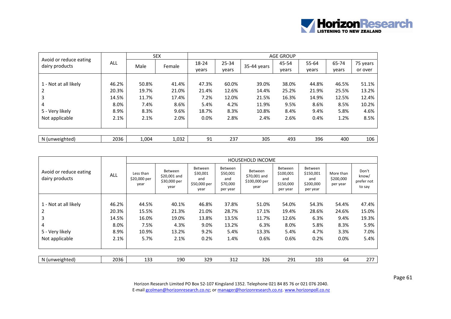

|                                          |            | <b>SEX</b> |        | <b>AGE GROUP</b> |           |             |       |       |       |          |  |  |
|------------------------------------------|------------|------------|--------|------------------|-----------|-------------|-------|-------|-------|----------|--|--|
| Avoid or reduce eating<br>dairy products | <b>ALL</b> | Male       | Female | 18-24            | $25 - 34$ | 35-44 years | 45-54 | 55-64 | 65-74 | 75 years |  |  |
|                                          |            |            |        | vears            | vears     |             | years | years | vears | or over  |  |  |
|                                          |            |            |        |                  |           |             |       |       |       |          |  |  |
| 1 - Not at all likely                    | 46.2%      | 50.8%      | 41.4%  | 47.3%            | 60.0%     | 39.0%       | 38.0% | 44.8% | 46.5% | 51.1%    |  |  |
|                                          | 20.3%      | 19.7%      | 21.0%  | 21.4%            | 12.6%     | 14.4%       | 25.2% | 21.9% | 25.5% | 13.2%    |  |  |
|                                          | 14.5%      | 11.7%      | 17.4%  | 7.2%             | 12.0%     | 21.5%       | 16.3% | 14.9% | 12.5% | 12.4%    |  |  |
| $\overline{4}$                           | 8.0%       | 7.4%       | 8.6%   | 5.4%             | 4.2%      | 11.9%       | 9.5%  | 8.6%  | 8.5%  | 10.2%    |  |  |
| 5 - Very likely                          | 8.9%       | 8.3%       | 9.6%   | 18.7%            | 8.3%      | 10.8%       | 8.4%  | 9.4%  | 5.8%  | 4.6%     |  |  |
| Not applicable                           | 2.1%       | 2.1%       | 2.0%   | 0.0%             | 2.8%      | 2.4%        | 2.6%  | 0.4%  | 1.2%  | 8.5%     |  |  |
|                                          |            |            |        |                  |           |             |       |       |       |          |  |  |
|                                          |            |            |        |                  |           |             |       |       |       |          |  |  |
| N (unweighted)                           | 2036       | 1,004      | 1,032  | 91               | 237       | 305         | 493   | 396   | 400   | 106      |  |  |

|                                          |            |                                   | <b>HOUSEHOLD INCOME</b>                         |                                                    |                                                    |                                                  |                                                      |                                                             |                                    |                                        |  |  |  |
|------------------------------------------|------------|-----------------------------------|-------------------------------------------------|----------------------------------------------------|----------------------------------------------------|--------------------------------------------------|------------------------------------------------------|-------------------------------------------------------------|------------------------------------|----------------------------------------|--|--|--|
| Avoid or reduce eating<br>dairy products | <b>ALL</b> | Less than<br>\$20,000 per<br>year | Between<br>\$20,001 and<br>\$30,000 per<br>year | Between<br>\$30,001<br>and<br>\$50,000 per<br>year | Between<br>\$50,001<br>and<br>\$70,000<br>per year | Between<br>\$70,001 and<br>\$100,000 per<br>year | Between<br>\$100,001<br>and<br>\$150,000<br>per year | <b>Between</b><br>\$150,001<br>and<br>\$200,000<br>per year | More than<br>\$200,000<br>per year | Don't<br>know/<br>prefer not<br>to say |  |  |  |
|                                          |            |                                   |                                                 |                                                    |                                                    |                                                  |                                                      |                                                             |                                    |                                        |  |  |  |
| 1 - Not at all likely                    | 46.2%      | 44.5%                             | 40.1%                                           | 46.8%                                              | 37.8%                                              | 51.0%                                            | 54.0%                                                | 54.3%                                                       | 54.4%                              | 47.4%                                  |  |  |  |
|                                          | 20.3%      | 15.5%                             | 21.3%                                           | 21.0%                                              | 28.7%                                              | 17.1%                                            | 19.4%                                                | 28.6%                                                       | 24.6%                              | 15.0%                                  |  |  |  |
| 3                                        | 14.5%      | 16.0%                             | 19.0%                                           | 13.8%                                              | 13.5%                                              | 11.7%                                            | 12.6%                                                | 6.3%                                                        | 9.4%                               | 19.3%                                  |  |  |  |
| 4                                        | 8.0%       | 7.5%                              | 4.3%                                            | 9.0%                                               | 13.2%                                              | 6.3%                                             | 8.0%                                                 | 5.8%                                                        | 8.3%                               | 5.9%                                   |  |  |  |
| 5 - Very likely                          | 8.9%       | 10.9%                             | 13.2%                                           | 9.2%                                               | 5.4%                                               | 13.3%                                            | 5.4%                                                 | 4.7%                                                        | 3.3%                               | 7.0%                                   |  |  |  |
| Not applicable                           | 2.1%       | 5.7%                              | 2.1%                                            | 0.2%                                               | 1.4%                                               | 0.6%                                             | 0.6%                                                 | 0.2%                                                        | 0.0%                               | 5.4%                                   |  |  |  |
|                                          |            |                                   |                                                 |                                                    |                                                    |                                                  |                                                      |                                                             |                                    |                                        |  |  |  |
| N (unweighted)                           | 2036       | 133                               | 190                                             | 329                                                | 312                                                | 326                                              | 291                                                  | 103                                                         | 64                                 | 277                                    |  |  |  |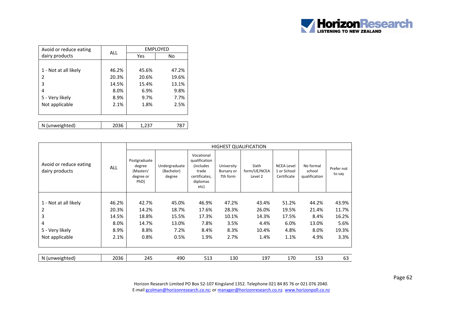

| Avoid or reduce eating | <b>ALL</b> | <b>EMPLOYED</b> |       |  |  |  |
|------------------------|------------|-----------------|-------|--|--|--|
| dairy products         |            | Yes             | No    |  |  |  |
|                        |            |                 |       |  |  |  |
| 1 - Not at all likely  | 46.2%      | 45.6%           | 47.2% |  |  |  |
| 2                      | 20.3%      | 20.6%           | 19.6% |  |  |  |
| 3                      | 14.5%      | 15.4%           | 13.1% |  |  |  |
| 4                      | 8.0%       | 6.9%            | 9.8%  |  |  |  |
| 5 - Very likely        | 8.9%       | 9.7%            | 7.7%  |  |  |  |
| Not applicable         | 2.1%       | 1.8%            | 2.5%  |  |  |  |
|                        |            |                 |       |  |  |  |
|                        |            |                 |       |  |  |  |
| N (unweighted)         | 2036       | 1,237           | 787   |  |  |  |

|                                          |            |                                                          |                                       |                                                                                        |                                      | <b>HIGHEST QUALIFICATION</b>     |                                                 |                                      |                      |
|------------------------------------------|------------|----------------------------------------------------------|---------------------------------------|----------------------------------------------------------------------------------------|--------------------------------------|----------------------------------|-------------------------------------------------|--------------------------------------|----------------------|
| Avoid or reduce eating<br>dairy products | <b>ALL</b> | Postgraduate<br>degree<br>(Masters'<br>degree or<br>PhD) | Undergraduate<br>(Bachelor)<br>degree | Vocational<br>qualification<br>(includes<br>trade<br>certificates,<br>diplomas<br>etc) | University<br>Bursary or<br>7th form | Sixth<br>form/UE/NCEA<br>Level 2 | <b>NCEA Level</b><br>1 or School<br>Certificate | No formal<br>school<br>qualification | Prefer not<br>to say |
|                                          | 46.2%      | 42.7%                                                    |                                       |                                                                                        |                                      |                                  |                                                 |                                      |                      |
| 1 - Not at all likely                    |            |                                                          | 45.0%                                 | 46.9%                                                                                  | 47.2%                                | 43.4%                            | 51.2%                                           | 44.2%                                | 43.9%                |
| 2                                        | 20.3%      | 14.2%                                                    | 18.7%                                 | 17.6%                                                                                  | 28.3%                                | 26.0%                            | 19.5%                                           | 21.4%                                | 11.7%                |
| 3                                        | 14.5%      | 18.8%                                                    | 15.5%                                 | 17.3%                                                                                  | 10.1%                                | 14.3%                            | 17.5%                                           | 8.4%                                 | 16.2%                |
| 4                                        | 8.0%       | 14.7%                                                    | 13.0%                                 | 7.8%                                                                                   | 3.5%                                 | 4.4%                             | 6.0%                                            | 13.0%                                | 5.6%                 |
| 5 - Very likely                          | 8.9%       | 8.8%                                                     | 7.2%                                  | 8.4%                                                                                   | 8.3%                                 | 10.4%                            | 4.8%                                            | 8.0%                                 | 19.3%                |
| Not applicable                           | 2.1%       | 0.8%                                                     | 0.5%                                  | 1.9%                                                                                   | 2.7%                                 | 1.4%                             | 1.1%                                            | 4.9%                                 | 3.3%                 |
|                                          |            |                                                          |                                       |                                                                                        |                                      |                                  |                                                 |                                      |                      |
| N (unweighted)                           | 2036       | 245                                                      | 490                                   | 513                                                                                    | 130                                  | 197                              | 170                                             | 153                                  | 63                   |